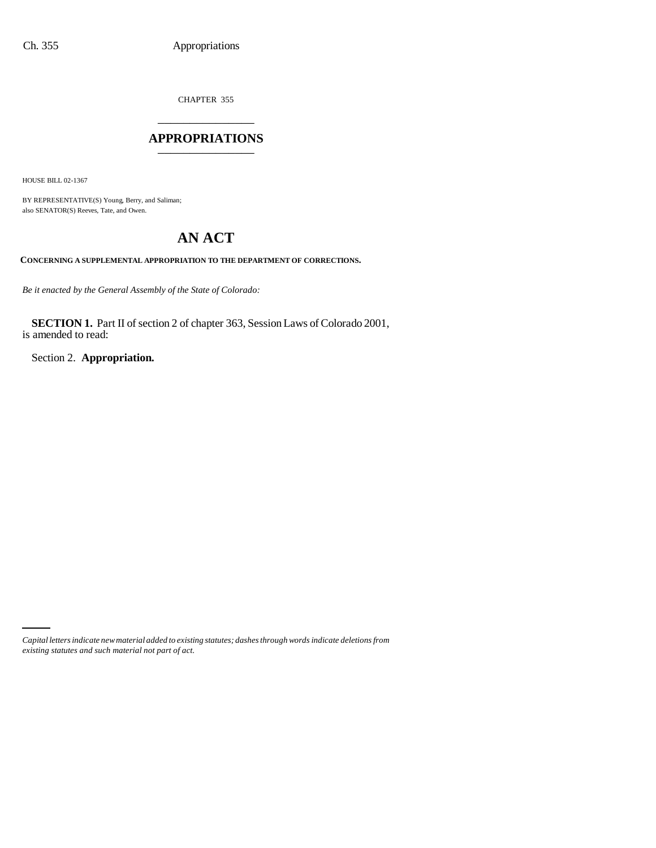CHAPTER 355 \_\_\_\_\_\_\_\_\_\_\_\_\_\_\_

### **APPROPRIATIONS** \_\_\_\_\_\_\_\_\_\_\_\_\_\_\_

HOUSE BILL 02-1367

BY REPRESENTATIVE(S) Young, Berry, and Saliman; also SENATOR(S) Reeves, Tate, and Owen.

# **AN ACT**

**CONCERNING A SUPPLEMENTAL APPROPRIATION TO THE DEPARTMENT OF CORRECTIONS.**

*Be it enacted by the General Assembly of the State of Colorado:*

**SECTION 1.** Part II of section 2 of chapter 363, Session Laws of Colorado 2001, is amended to read:

Section 2. **Appropriation.**

*Capital letters indicate new material added to existing statutes; dashes through words indicate deletions from existing statutes and such material not part of act.*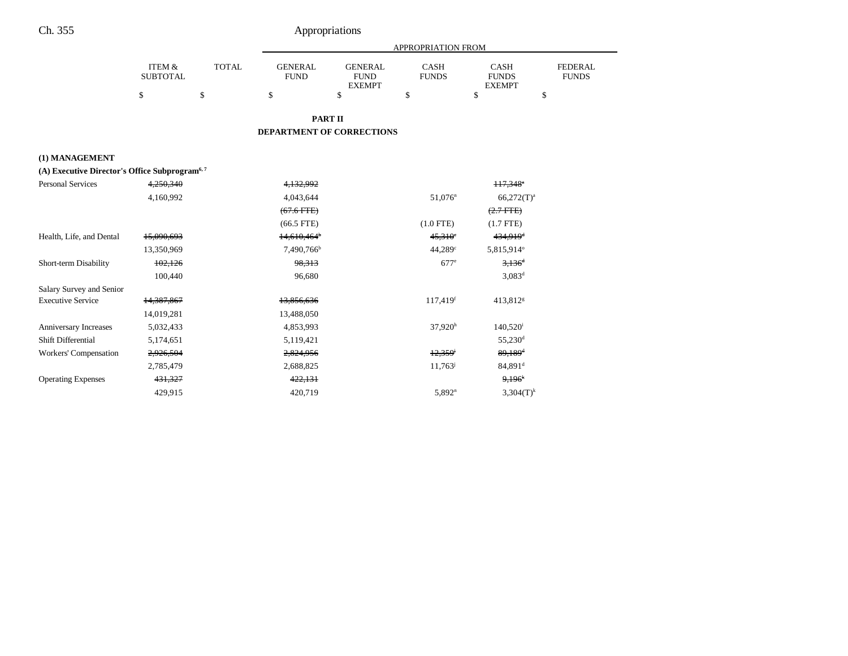|                                                           |                           |              | <b>APPROPRIATION FROM</b>     |                                                |                             |                                              |                                |
|-----------------------------------------------------------|---------------------------|--------------|-------------------------------|------------------------------------------------|-----------------------------|----------------------------------------------|--------------------------------|
|                                                           | ITEM &<br><b>SUBTOTAL</b> | <b>TOTAL</b> | <b>GENERAL</b><br><b>FUND</b> | <b>GENERAL</b><br><b>FUND</b><br><b>EXEMPT</b> | <b>CASH</b><br><b>FUNDS</b> | <b>CASH</b><br><b>FUNDS</b><br><b>EXEMPT</b> | <b>FEDERAL</b><br><b>FUNDS</b> |
|                                                           | \$                        | \$           | \$                            | \$                                             | \$                          | \$<br>\$                                     |                                |
|                                                           |                           |              | <b>PART II</b>                |                                                |                             |                                              |                                |
|                                                           |                           |              | DEPARTMENT OF CORRECTIONS     |                                                |                             |                                              |                                |
|                                                           |                           |              |                               |                                                |                             |                                              |                                |
| (1) MANAGEMENT                                            |                           |              |                               |                                                |                             |                                              |                                |
| (A) Executive Director's Office Subprogram <sup>6,7</sup> |                           |              |                               |                                                |                             |                                              |                                |
| <b>Personal Services</b>                                  | 4,250,340                 |              | 4,132,992                     |                                                |                             | $117,348$ <sup>*</sup>                       |                                |
|                                                           | 4,160,992                 |              | 4,043,644                     |                                                | $51,076$ <sup>n</sup>       | $66,272(T)^a$                                |                                |
|                                                           |                           |              | $(67.6$ FTE)                  |                                                |                             | $(2.7$ FTE)                                  |                                |
|                                                           |                           |              | $(66.5$ FTE)                  |                                                | $(1.0$ FTE)                 | $(1.7$ FTE)                                  |                                |
| Health, Life, and Dental                                  | 15,090,693                |              | $14,610,464$ <sup>b</sup>     |                                                | $45,310^{\circ}$            | 434,919 <sup>d</sup>                         |                                |
|                                                           | 13,350,969                |              | 7,490,766 <sup>b</sup>        |                                                | $44.289$ <sup>c</sup>       | 5,815,914°                                   |                                |
| Short-term Disability                                     | 102,126                   |              | 98,313                        |                                                | $677^e$                     | $3,136$ <sup>d</sup>                         |                                |
|                                                           | 100,440                   |              | 96,680                        |                                                |                             | $3,083^d$                                    |                                |
| Salary Survey and Senior                                  |                           |              |                               |                                                |                             |                                              |                                |
| <b>Executive Service</b>                                  | 14,387,867                |              | 13,856,636                    |                                                | 117,419f                    | 413,812 <sup>g</sup>                         |                                |
|                                                           | 14,019,281                |              | 13,488,050                    |                                                |                             |                                              |                                |
| Anniversary Increases                                     | 5,032,433                 |              | 4,853,993                     |                                                | $37,920^h$                  | $140,520$ <sup>i</sup>                       |                                |
| Shift Differential                                        | 5,174,651                 |              | 5,119,421                     |                                                |                             | 55,230 <sup>d</sup>                          |                                |
| Workers' Compensation                                     | 2,926,504                 |              | 2,824,956                     |                                                | 12.359                      | $89,189$ <sup>d</sup>                        |                                |
|                                                           | 2,785,479                 |              | 2,688,825                     |                                                | 11,763                      | 84,891 <sup>d</sup>                          |                                |
| <b>Operating Expenses</b>                                 | 431,327                   |              | 422,131                       |                                                |                             | 9,196 <sup>k</sup>                           |                                |
|                                                           | 429,915                   |              | 420,719                       |                                                | $5,892^n$                   | $3,304(T)^k$                                 |                                |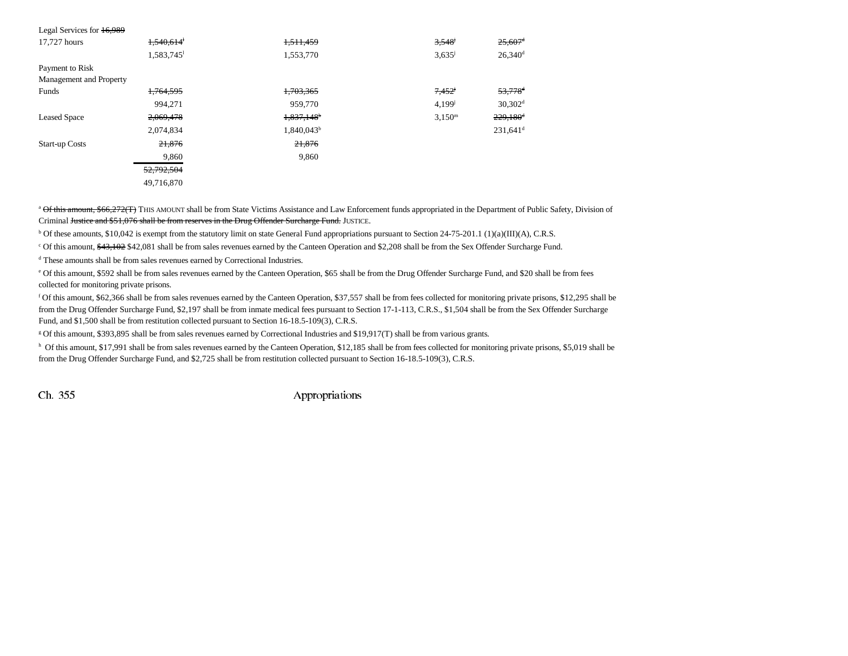| Legal Services for 16,989 |                      |                        |                    |                        |
|---------------------------|----------------------|------------------------|--------------------|------------------------|
| 17.727 hours              | 1,540,614            | 1,511,459              | 3,548              | $25,607$ <sup>d</sup>  |
|                           | 1,583,745            | 1,553,770              | $3,635^{\circ}$    | $26,340$ <sup>d</sup>  |
| Payment to Risk           |                      |                        |                    |                        |
| Management and Property   |                      |                        |                    |                        |
| Funds                     | <del>1,764,595</del> | 1,703,365              | 7,452              | 53,778 <sup>d</sup>    |
|                           | 994.271              | 959,770                | $4,199^{j}$        | $30,302$ <sup>d</sup>  |
| <b>Leased Space</b>       | 2,069,478            | 1,837,148 <sup>b</sup> | 3.150 <sup>m</sup> | $229,180$ <sup>d</sup> |
|                           | 2,074,834            | $1,840,043^b$          |                    | $231,641$ <sup>d</sup> |
| <b>Start-up Costs</b>     | 21,876               | 21,876                 |                    |                        |
|                           | 9,860                | 9,860                  |                    |                        |
|                           | 52,792,504           |                        |                    |                        |
|                           | 49,716,870           |                        |                    |                        |
|                           |                      |                        |                    |                        |

<sup>a</sup> Of this amount, \$66,272(T) THIS AMOUNT shall be from State Victims Assistance and Law Enforcement funds appropriated in the Department of Public Safety, Division of Criminal Justice and \$51,076 shall be from reserves in the Drug Offender Surcharge Fund. JUSTICE.

b Of these amounts, \$10,042 is exempt from the statutory limit on state General Fund appropriations pursuant to Section 24-75-201.1 (1)(a)(III)(A), C.R.S.

<sup>c</sup> Of this amount,  $\frac{43,102}{842,081}$  shall be from sales revenues earned by the Canteen Operation and \$2,208 shall be from the Sex Offender Surcharge Fund.

<sup>d</sup> These amounts shall be from sales revenues earned by Correctional Industries.

e Of this amount, \$592 shall be from sales revenues earned by the Canteen Operation, \$65 shall be from the Drug Offender Surcharge Fund, and \$20 shall be from fees collected for monitoring private prisons.

f Of this amount, \$62,366 shall be from sales revenues earned by the Canteen Operation, \$37,557 shall be from fees collected for monitoring private prisons, \$12,295 shall be from the Drug Offender Surcharge Fund, \$2,197 shall be from inmate medical fees pursuant to Section 17-1-113, C.R.S., \$1,504 shall be from the Sex Offender Surcharge Fund, and \$1,500 shall be from restitution collected pursuant to Section 16-18.5-109(3), C.R.S.

g Of this amount, \$393,895 shall be from sales revenues earned by Correctional Industries and \$19,917(T) shall be from various grants.

h Of this amount, \$17,991 shall be from sales revenues earned by the Canteen Operation, \$12,185 shall be from fees collected for monitoring private prisons, \$5,019 shall be from the Drug Offender Surcharge Fund, and \$2,725 shall be from restitution collected pursuant to Section 16-18.5-109(3), C.R.S.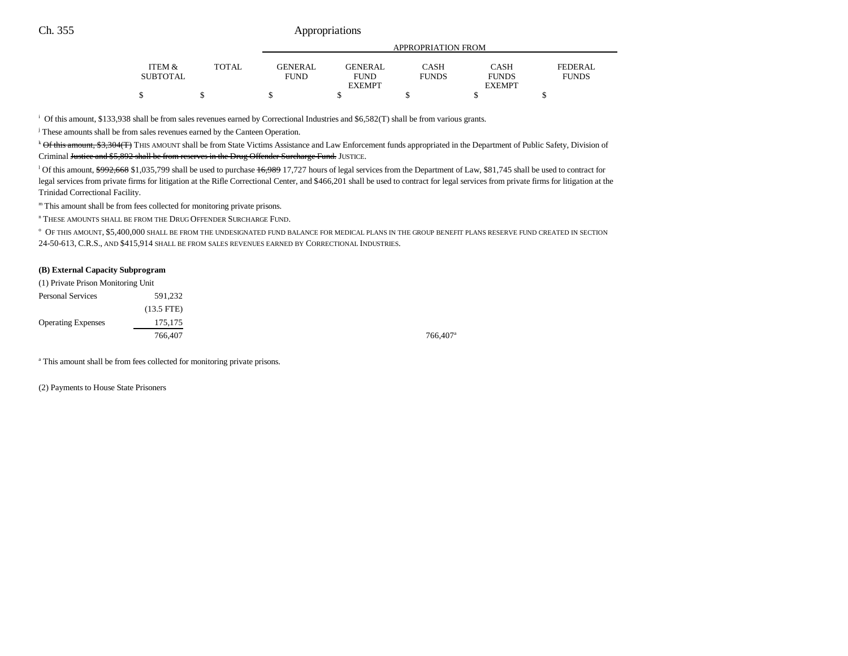|                 |              | APPROPRIATION FROM |               |              |               |              |
|-----------------|--------------|--------------------|---------------|--------------|---------------|--------------|
| ITEM &          | <b>TOTAL</b> | <b>GENERAL</b>     | GENERAL       | CASH         | CASH          | FEDERAL      |
| <b>SUBTOTAL</b> |              | FUND               | <b>FUND</b>   | <b>FUNDS</b> | <b>FUNDS</b>  | <b>FUNDS</b> |
|                 |              |                    | <b>EXEMPT</b> |              | <b>EXEMPT</b> |              |
|                 |              |                    |               |              |               |              |

i Of this amount, \$133,938 shall be from sales revenues earned by Correctional Industries and \$6,582(T) shall be from various grants.

<sup>j</sup> These amounts shall be from sales revenues earned by the Canteen Operation.

k Of this amount, \$3,304(T) THIS AMOUNT shall be from State Victims Assistance and Law Enforcement funds appropriated in the Department of Public Safety, Division of Criminal Justice and \$5,892 shall be from reserves in the Drug Offender Surcharge Fund. JUSTICE.

<sup>1</sup> Of this amount, \$992,668 \$1,035,799 shall be used to purchase 16,989 17,727 hours of legal services from the Department of Law, \$81,745 shall be used to contract for legal services from private firms for litigation at the Rifle Correctional Center, and \$466,201 shall be used to contract for legal services from private firms for litigation at the Trinidad Correctional Facility.

m This amount shall be from fees collected for monitoring private prisons.

n THESE AMOUNTS SHALL BE FROM THE DRUG OFFENDER SURCHARGE FUND.

o OF THIS AMOUNT, \$5,400,000 SHALL BE FROM THE UNDESIGNATED FUND BALANCE FOR MEDICAL PLANS IN THE GROUP BENEFIT PLANS RESERVE FUND CREATED IN SECTION 24-50-613, C.R.S., AND \$415,914 SHALL BE FROM SALES REVENUES EARNED BY CORRECTIONAL INDUSTRIES.

#### **(B) External Capacity Subprogram**

| (1) Private Prison Monitoring Unit |                      |  |  |
|------------------------------------|----------------------|--|--|
| <b>Personal Services</b>           | 591.232              |  |  |
|                                    | $(13.5 \text{ FTE})$ |  |  |
| <b>Operating Expenses</b>          | 175,175              |  |  |
|                                    | 766,407              |  |  |

766,407<sup>a</sup>

<sup>a</sup> This amount shall be from fees collected for monitoring private prisons.

(2) Payments to House State Prisoners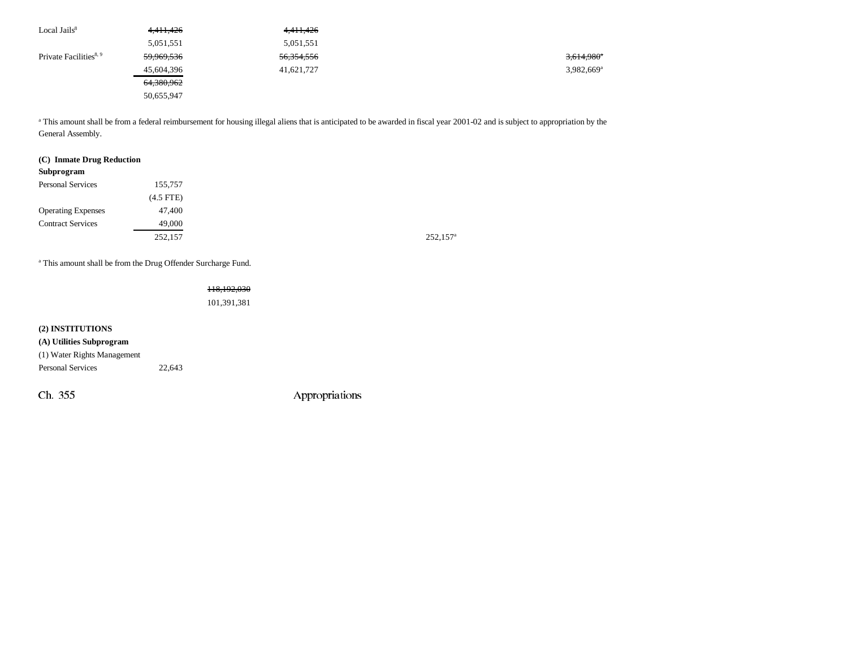| Local Jails $8$                    | 4,411,426             | 4, 411, 426           |                          |
|------------------------------------|-----------------------|-----------------------|--------------------------|
|                                    | 5,051,551             | 5,051,551             |                          |
| Private Facilities <sup>8, 9</sup> | 59,969,536            | <del>56,354,556</del> | $3,614,980$ <sup>a</sup> |
|                                    | 45,604,396            | 41,621,727            | $3.982,669$ <sup>a</sup> |
|                                    | <del>64,380,962</del> |                       |                          |
|                                    | 50,655,947            |                       |                          |

<sup>a</sup> This amount shall be from a federal reimbursement for housing illegal aliens that is anticipated to be awarded in fiscal year 2001-02 and is subject to appropriation by the General Assembly.

#### **(C) Inmate Drug Reduction**

| 155,757        |
|----------------|
| $(4.5$ FTE $)$ |
| 47,400         |
| 49,000         |
| 252,157        |
|                |

<sup>a</sup> This amount shall be from the Drug Offender Surcharge Fund.

# 118,192,030

101,391,381

# **(2) INSTITUTIONS (A) Utilities Subprogram**

(1) Water Rights Management

Personal Services 22,643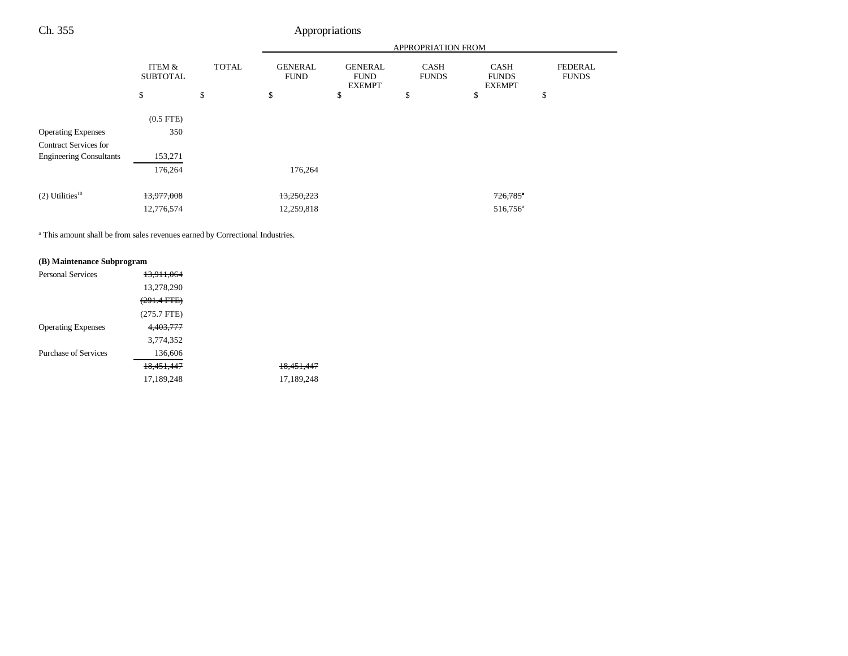|                                |                           |              | <b>APPROPRIATION FROM</b>     |                                                |                             |                                              |                                |
|--------------------------------|---------------------------|--------------|-------------------------------|------------------------------------------------|-----------------------------|----------------------------------------------|--------------------------------|
|                                | ITEM &<br><b>SUBTOTAL</b> | <b>TOTAL</b> | <b>GENERAL</b><br><b>FUND</b> | <b>GENERAL</b><br><b>FUND</b><br><b>EXEMPT</b> | <b>CASH</b><br><b>FUNDS</b> | <b>CASH</b><br><b>FUNDS</b><br><b>EXEMPT</b> | <b>FEDERAL</b><br><b>FUNDS</b> |
|                                | \$                        | \$           | \$                            | \$                                             | \$                          | \$                                           | \$                             |
|                                | $(0.5$ FTE)               |              |                               |                                                |                             |                                              |                                |
| <b>Operating Expenses</b>      | 350                       |              |                               |                                                |                             |                                              |                                |
| <b>Contract Services for</b>   |                           |              |                               |                                                |                             |                                              |                                |
| <b>Engineering Consultants</b> | 153,271                   |              |                               |                                                |                             |                                              |                                |
|                                | 176,264                   |              | 176,264                       |                                                |                             |                                              |                                |
| $(2)$ Utilities <sup>10</sup>  | 13,977,008                |              | 13,250,223                    |                                                |                             | $726,785$ <sup>*</sup>                       |                                |
|                                |                           |              |                               |                                                |                             |                                              |                                |
|                                | 12,776,574                |              | 12,259,818                    |                                                |                             | 516,756 <sup>a</sup>                         |                                |

<sup>a</sup> This amount shall be from sales revenues earned by Correctional Industries.

## **(B) Maintenance Subprogram**

| <b>Personal Services</b>    | 13.911.064    |                       |
|-----------------------------|---------------|-----------------------|
|                             | 13,278,290    |                       |
|                             | (291.4 FTE)   |                       |
|                             | $(275.7$ FTE) |                       |
| <b>Operating Expenses</b>   | 4.403.777     |                       |
|                             | 3,774,352     |                       |
| <b>Purchase of Services</b> | 136,606       |                       |
|                             | 18.451.447    | <del>18,451,447</del> |
|                             | 17,189,248    | 17,189,248            |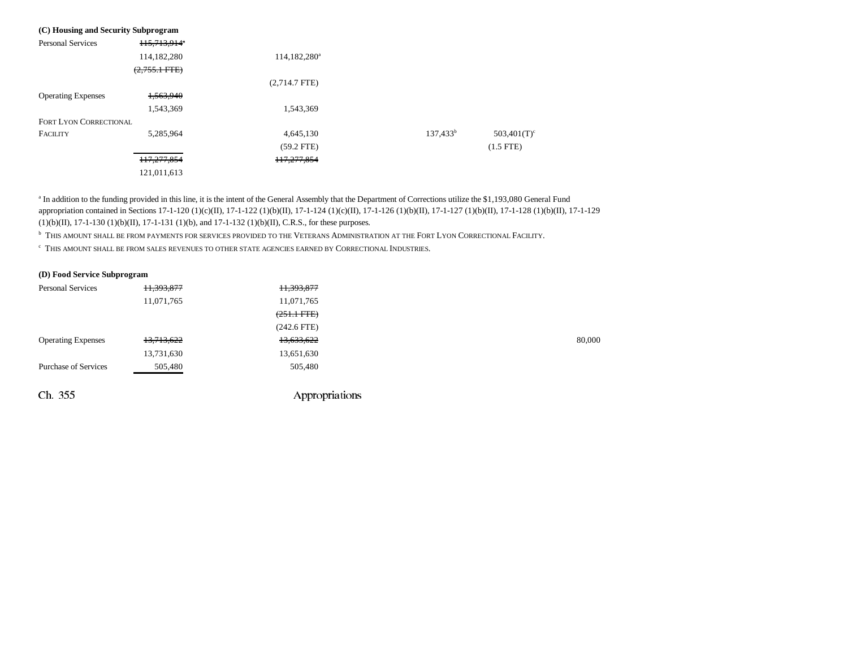| (C) Housing and Security Subprogram |                          |                          |             |             |
|-------------------------------------|--------------------------|--------------------------|-------------|-------------|
| <b>Personal Services</b>            | 115,713,914 <sup>*</sup> |                          |             |             |
|                                     | 114,182,280              | 114,182,280 <sup>a</sup> |             |             |
|                                     | $(2,755.1$ FTE)          |                          |             |             |
|                                     |                          | $(2,714.7$ FTE)          |             |             |
| <b>Operating Expenses</b>           | 1,563,940                |                          |             |             |
|                                     | 1,543,369                | 1,543,369                |             |             |
| <b>FORT LYON CORRECTIONAL</b>       |                          |                          |             |             |
| <b>FACILITY</b>                     | 5,285,964                | 4,645,130                | $137,433^b$ | 503,401(T)  |
|                                     |                          | $(59.2$ FTE)             |             | $(1.5$ FTE) |
|                                     | 117,277,854              | 117,277,854              |             |             |
|                                     | 121,011,613              |                          |             |             |

<sup>a</sup> In addition to the funding provided in this line, it is the intent of the General Assembly that the Department of Corrections utilize the \$1,193,080 General Fund appropriation contained in Sections 17-1-120 (1)(c)(II), 17-1-122 (1)(b)(II), 17-1-124 (1)(c)(II), 17-1-126 (1)(b)(II), 17-1-127 (1)(b)(II), 17-1-128 (1)(b)(II), 17-1-129  $(1)(b)(II)$ , 17-1-130  $(1)(b)(II)$ , 17-1-131  $(1)(b)$ , and 17-1-132  $(1)(b)(II)$ , C.R.S., for these purposes.

 $^{\rm b}$  This amount shall be from payments for services provided to the Veterans Administration at the Fort Lyon Correctional Facility.

 $^\mathrm{c}$  This amount shall be from sales revenues to other state agencies earned by  $\mathrm{Cor}$ rectional Industries.

#### **(D) Food Service Subprogram**

| <b>Personal Services</b>    | 11,393,877 | H, 393, 877   |        |
|-----------------------------|------------|---------------|--------|
|                             | 11,071,765 | 11,071,765    |        |
|                             |            | $(251.1$ FTE) |        |
|                             |            | $(242.6$ FTE) |        |
| <b>Operating Expenses</b>   | 13,713,622 | 13,633,622    | 80,000 |
|                             | 13,731,630 | 13,651,630    |        |
| <b>Purchase of Services</b> | 505,480    | 505,480       |        |
|                             |            |               |        |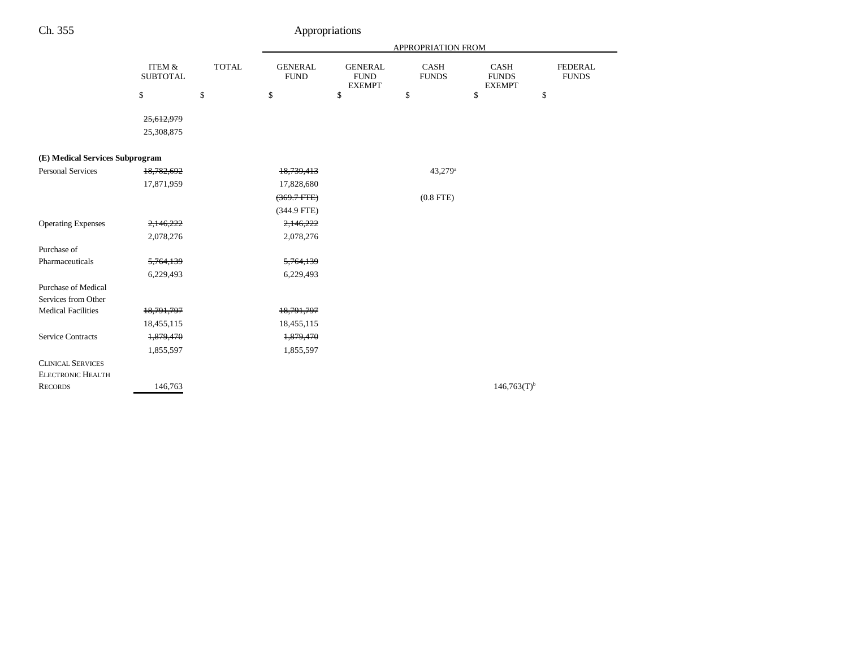|                                 |                                      |              | APPROPRIATION FROM            |                                                |                             |                                              |                                |  |
|---------------------------------|--------------------------------------|--------------|-------------------------------|------------------------------------------------|-----------------------------|----------------------------------------------|--------------------------------|--|
|                                 | <b>ITEM &amp;</b><br><b>SUBTOTAL</b> | <b>TOTAL</b> | <b>GENERAL</b><br><b>FUND</b> | <b>GENERAL</b><br><b>FUND</b><br><b>EXEMPT</b> | <b>CASH</b><br><b>FUNDS</b> | <b>CASH</b><br><b>FUNDS</b><br><b>EXEMPT</b> | <b>FEDERAL</b><br><b>FUNDS</b> |  |
|                                 | $\mathbb{S}$                         | \$           | \$                            | \$                                             | \$                          | \$                                           | \$                             |  |
|                                 | 25,612,979                           |              |                               |                                                |                             |                                              |                                |  |
|                                 | 25,308,875                           |              |                               |                                                |                             |                                              |                                |  |
|                                 |                                      |              |                               |                                                |                             |                                              |                                |  |
| (E) Medical Services Subprogram |                                      |              |                               |                                                |                             |                                              |                                |  |
| <b>Personal Services</b>        | 18,782,692                           |              | 18,739,413                    |                                                | 43,279 <sup>a</sup>         |                                              |                                |  |
|                                 | 17,871,959                           |              | 17,828,680                    |                                                |                             |                                              |                                |  |
|                                 |                                      |              | $(369.7 + FFE)$               |                                                | $(0.8$ FTE)                 |                                              |                                |  |
|                                 |                                      |              | $(344.9$ FTE)                 |                                                |                             |                                              |                                |  |
| <b>Operating Expenses</b>       | 2,146,222                            |              | 2,146,222                     |                                                |                             |                                              |                                |  |
|                                 | 2,078,276                            |              | 2,078,276                     |                                                |                             |                                              |                                |  |
| Purchase of                     |                                      |              |                               |                                                |                             |                                              |                                |  |
| Pharmaceuticals                 | 5,764,139                            |              | 5,764,139                     |                                                |                             |                                              |                                |  |
|                                 | 6,229,493                            |              | 6,229,493                     |                                                |                             |                                              |                                |  |
| <b>Purchase of Medical</b>      |                                      |              |                               |                                                |                             |                                              |                                |  |
| Services from Other             |                                      |              |                               |                                                |                             |                                              |                                |  |
| <b>Medical Facilities</b>       | 18,791,797                           |              | 18,791,797                    |                                                |                             |                                              |                                |  |
|                                 | 18,455,115                           |              | 18,455,115                    |                                                |                             |                                              |                                |  |
| <b>Service Contracts</b>        | 1,879,470                            |              | 1,879,470                     |                                                |                             |                                              |                                |  |
|                                 | 1,855,597                            |              | 1,855,597                     |                                                |                             |                                              |                                |  |
| <b>CLINICAL SERVICES</b>        |                                      |              |                               |                                                |                             |                                              |                                |  |
| <b>ELECTRONIC HEALTH</b>        |                                      |              |                               |                                                |                             |                                              |                                |  |
| <b>RECORDS</b>                  | 146,763                              |              |                               |                                                |                             | $146,763(T)$ <sup>b</sup>                    |                                |  |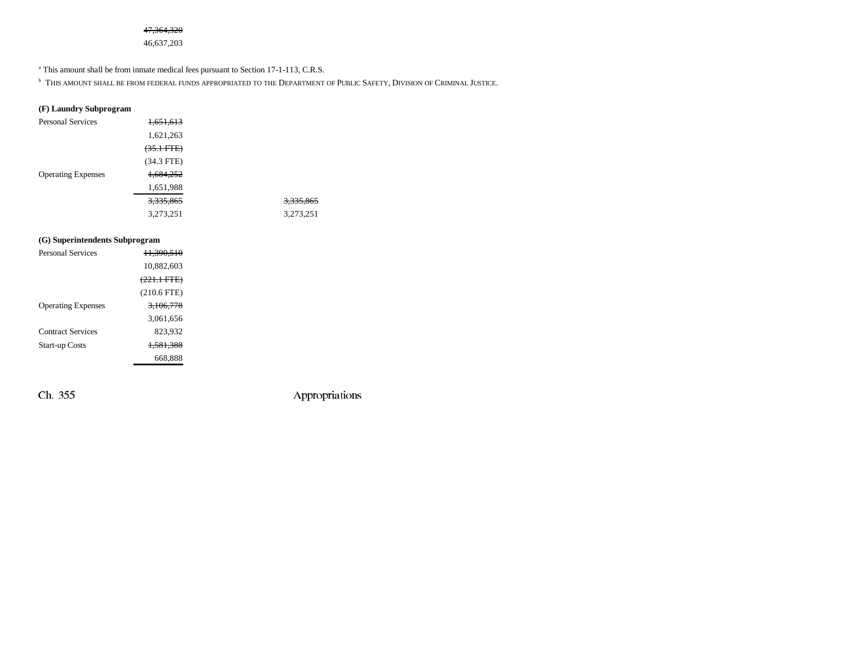### 47,364,320

46,637,203

<sup>a</sup> This amount shall be from inmate medical fees pursuant to Section 17-1-113, C.R.S.

 $^{\rm b}$  This amount shall be from federal funds appropriated to the Department of Public Safety, Division of Criminal Justice.

## **(F) Laundry Subprogram**

| <b>Personal Services</b>  | 1,651,613            |                      |
|---------------------------|----------------------|----------------------|
|                           | 1,621,263            |                      |
|                           | $(35.1 \text{ FTE})$ |                      |
|                           | $(34.3$ FTE)         |                      |
| <b>Operating Expenses</b> | 1,684,252            |                      |
|                           | 1,651,988            |                      |
|                           | 3,335,865            | <del>3,335,865</del> |
|                           | 3,273,251            | 3,273,251            |

### **(G) Superintendents Subprogram**

| <b>Personal Services</b>  | <del>11.390.510</del>  |  |
|---------------------------|------------------------|--|
|                           | 10,882,603             |  |
|                           | <del>(221.1 FTE)</del> |  |
|                           | $(210.6$ FTE)          |  |
| <b>Operating Expenses</b> | 3.106.778              |  |
|                           | 3,061,656              |  |
| <b>Contract Services</b>  | 823.932                |  |
| <b>Start-up Costs</b>     | <del>1.581.388</del>   |  |
|                           | 668.888                |  |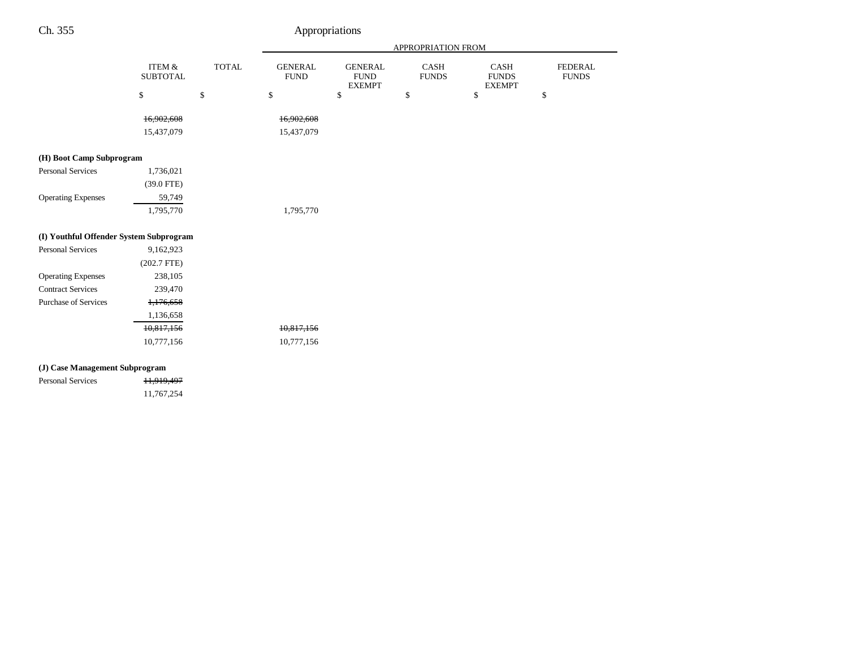|                                         |                                      |              |                               |                                                | APPROPRIATION FROM          |                                              |                                |
|-----------------------------------------|--------------------------------------|--------------|-------------------------------|------------------------------------------------|-----------------------------|----------------------------------------------|--------------------------------|
|                                         | <b>ITEM &amp;</b><br><b>SUBTOTAL</b> | <b>TOTAL</b> | <b>GENERAL</b><br><b>FUND</b> | <b>GENERAL</b><br><b>FUND</b><br><b>EXEMPT</b> | <b>CASH</b><br><b>FUNDS</b> | <b>CASH</b><br><b>FUNDS</b><br><b>EXEMPT</b> | <b>FEDERAL</b><br><b>FUNDS</b> |
|                                         | \$                                   | \$           | \$                            | \$                                             | \$                          | \$                                           | \$                             |
|                                         | 16,902,608                           |              | 16,902,608                    |                                                |                             |                                              |                                |
|                                         | 15,437,079                           |              | 15,437,079                    |                                                |                             |                                              |                                |
| (H) Boot Camp Subprogram                |                                      |              |                               |                                                |                             |                                              |                                |
| <b>Personal Services</b>                | 1,736,021                            |              |                               |                                                |                             |                                              |                                |
|                                         | $(39.0$ FTE)                         |              |                               |                                                |                             |                                              |                                |
| <b>Operating Expenses</b>               | 59,749                               |              |                               |                                                |                             |                                              |                                |
|                                         | 1,795,770                            |              | 1,795,770                     |                                                |                             |                                              |                                |
| (I) Youthful Offender System Subprogram |                                      |              |                               |                                                |                             |                                              |                                |
| <b>Personal Services</b>                | 9,162,923                            |              |                               |                                                |                             |                                              |                                |
|                                         | $(202.7$ FTE)                        |              |                               |                                                |                             |                                              |                                |
| <b>Operating Expenses</b>               | 238,105                              |              |                               |                                                |                             |                                              |                                |
| <b>Contract Services</b>                | 239,470                              |              |                               |                                                |                             |                                              |                                |
| <b>Purchase of Services</b>             | 1,176,658                            |              |                               |                                                |                             |                                              |                                |
|                                         | 1,136,658                            |              |                               |                                                |                             |                                              |                                |
|                                         | 10,817,156                           |              | 10,817,156                    |                                                |                             |                                              |                                |
|                                         | 10,777,156                           |              | 10,777,156                    |                                                |                             |                                              |                                |
| (J) Case Management Subprogram          |                                      |              |                               |                                                |                             |                                              |                                |
| Dorsonal Corrigge                       | 11.010.407                           |              |                               |                                                |                             |                                              |                                |

Personal Services 11,919,497 11,767,254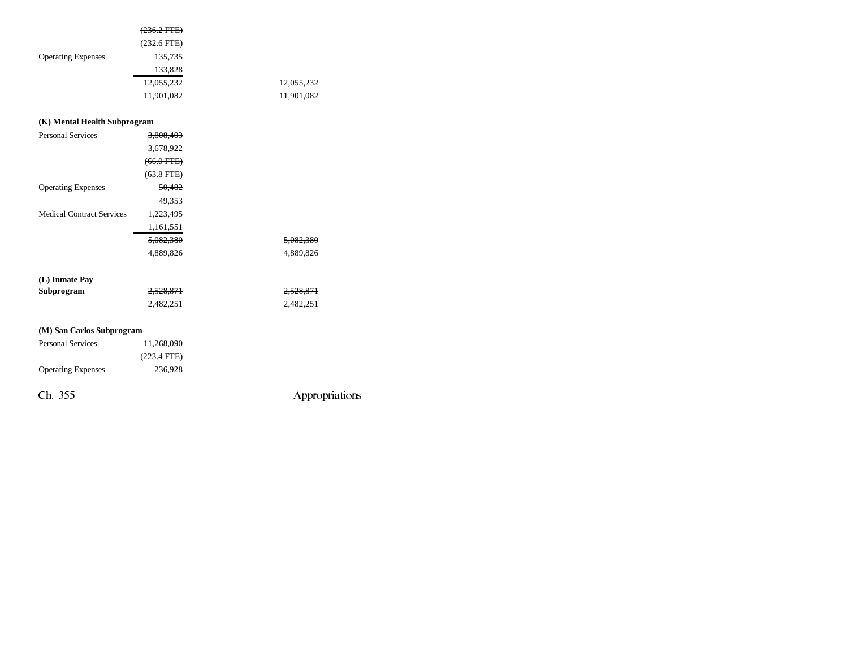|                                  | $(236.2 \text{ FFE})$ |                |
|----------------------------------|-----------------------|----------------|
|                                  | $(232.6$ FTE)         |                |
| <b>Operating Expenses</b>        | <del>135,735</del>    |                |
|                                  | 133,828               |                |
|                                  | 12,055,232            | 12,055,232     |
|                                  | 11,901,082            | 11,901,082     |
|                                  |                       |                |
| (K) Mental Health Subprogram     |                       |                |
| <b>Personal Services</b>         | 3,808,403             |                |
|                                  | 3,678,922             |                |
|                                  | $(66.0 \text{ FFE})$  |                |
|                                  | $(63.8$ FTE)          |                |
| <b>Operating Expenses</b>        | 50,482                |                |
|                                  | 49,353                |                |
| <b>Medical Contract Services</b> | 1,223,495             |                |
|                                  | 1,161,551             |                |
|                                  | 5,082,380             | 5,082,380      |
|                                  | 4,889,826             | 4,889,826      |
|                                  |                       |                |
| (L) Inmate Pay                   |                       |                |
| Subprogram                       | 2,528,871             | 2,528,871      |
|                                  | 2,482,251             | 2,482,251      |
|                                  |                       |                |
| (M) San Carlos Subprogram        |                       |                |
| <b>Personal Services</b>         | 11,268,090            |                |
|                                  | $(223.4$ FTE)         |                |
| <b>Operating Expenses</b>        | 236,928               |                |
| Ch. 355                          |                       | Appropriations |
|                                  |                       |                |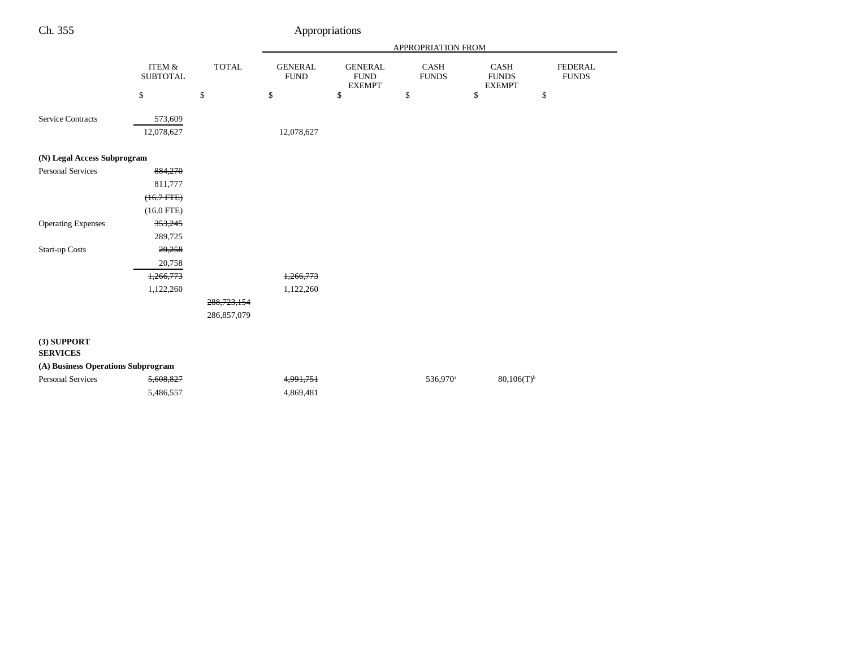|                                    |                              |               |                               |                                                | APPROPRIATION FROM   |                                       |                                |
|------------------------------------|------------------------------|---------------|-------------------------------|------------------------------------------------|----------------------|---------------------------------------|--------------------------------|
|                                    | ITEM $\&$<br><b>SUBTOTAL</b> | <b>TOTAL</b>  | <b>GENERAL</b><br><b>FUND</b> | <b>GENERAL</b><br><b>FUND</b><br><b>EXEMPT</b> | CASH<br><b>FUNDS</b> | CASH<br><b>FUNDS</b><br><b>EXEMPT</b> | <b>FEDERAL</b><br><b>FUNDS</b> |
|                                    | \$                           | $\$$          | \$                            | \$                                             | \$                   | \$                                    | \$                             |
|                                    |                              |               |                               |                                                |                      |                                       |                                |
| <b>Service Contracts</b>           | 573,609                      |               |                               |                                                |                      |                                       |                                |
|                                    | 12,078,627                   |               | 12,078,627                    |                                                |                      |                                       |                                |
| (N) Legal Access Subprogram        |                              |               |                               |                                                |                      |                                       |                                |
| <b>Personal Services</b>           | 884,270                      |               |                               |                                                |                      |                                       |                                |
|                                    | 811,777                      |               |                               |                                                |                      |                                       |                                |
|                                    | $(16.7$ FTE $)$              |               |                               |                                                |                      |                                       |                                |
|                                    | $(16.0$ FTE)                 |               |                               |                                                |                      |                                       |                                |
| <b>Operating Expenses</b>          | 353,245                      |               |                               |                                                |                      |                                       |                                |
|                                    | 289,725                      |               |                               |                                                |                      |                                       |                                |
| <b>Start-up Costs</b>              | 29,258                       |               |                               |                                                |                      |                                       |                                |
|                                    | 20,758                       |               |                               |                                                |                      |                                       |                                |
|                                    | 1,266,773                    |               | 1,266,773                     |                                                |                      |                                       |                                |
|                                    | 1,122,260                    |               | 1,122,260                     |                                                |                      |                                       |                                |
|                                    |                              | 288, 723, 154 |                               |                                                |                      |                                       |                                |
|                                    |                              | 286,857,079   |                               |                                                |                      |                                       |                                |
| $(3)$ SUPPORT<br><b>SERVICES</b>   |                              |               |                               |                                                |                      |                                       |                                |
| (A) Business Operations Subprogram |                              |               |                               |                                                |                      |                                       |                                |
| <b>Personal Services</b>           | 5,608,827                    |               | 4,991,751                     |                                                | 536,970 <sup>a</sup> | $80,106(T)^{b}$                       |                                |
|                                    | 5,486,557                    |               | 4,869,481                     |                                                |                      |                                       |                                |
|                                    |                              |               |                               |                                                |                      |                                       |                                |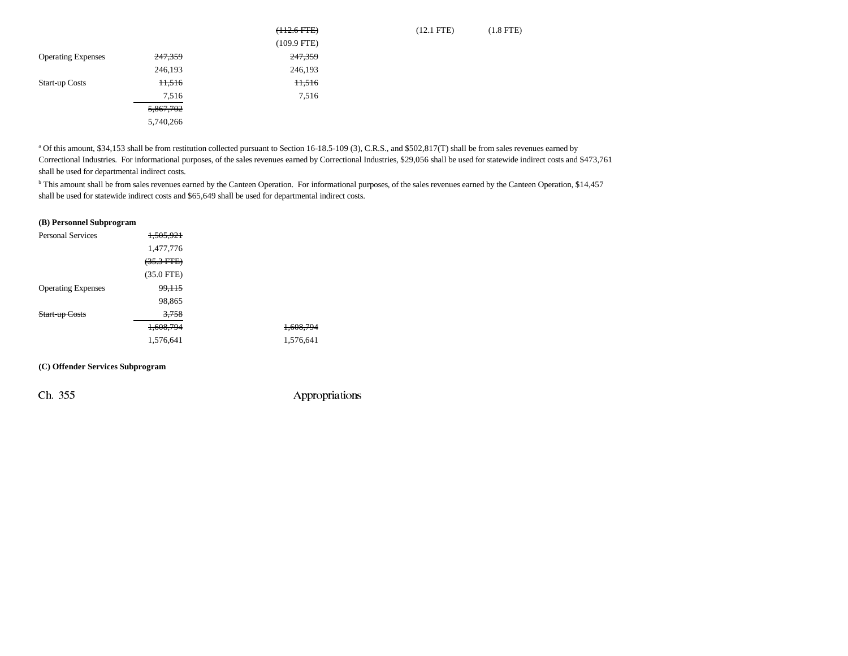|                           |           | $(112.6$ FTE $)$ | $(12.1$ FTE) | $(1.8$ FTE) |
|---------------------------|-----------|------------------|--------------|-------------|
|                           |           | $(109.9$ FTE)    |              |             |
| <b>Operating Expenses</b> | 247,359   | 247,359          |              |             |
|                           | 246,193   | 246,193          |              |             |
| <b>Start-up Costs</b>     | 11,516    | 11,516           |              |             |
|                           | 7,516     | 7,516            |              |             |
|                           | 5,867,702 |                  |              |             |
|                           | 5,740,266 |                  |              |             |

a Of this amount, \$34,153 shall be from restitution collected pursuant to Section 16-18.5-109 (3), C.R.S., and \$502,817(T) shall be from sales revenues earned by Correctional Industries. For informational purposes, of the sales revenues earned by Correctional Industries, \$29,056 shall be used for statewide indirect costs and \$473,761 shall be used for departmental indirect costs.

<sup>b</sup> This amount shall be from sales revenues earned by the Canteen Operation. For informational purposes, of the sales revenues earned by the Canteen Operation, \$14,457 shall be used for statewide indirect costs and \$65,649 shall be used for departmental indirect costs.

### **(B) Personnel Subprogram**

| <b>Personal Services</b>  | 1,505,921            |           |
|---------------------------|----------------------|-----------|
|                           | 1,477,776            |           |
|                           | $(35.3 \text{ FFE})$ |           |
|                           | $(35.0$ FTE)         |           |
| <b>Operating Expenses</b> | 99,115               |           |
|                           | 98,865               |           |
| Start-up Costs            | 3.758                |           |
|                           | 1,608,794            | 1,608,794 |
|                           | 1,576,641            | 1,576,641 |

**(C) Offender Services Subprogram**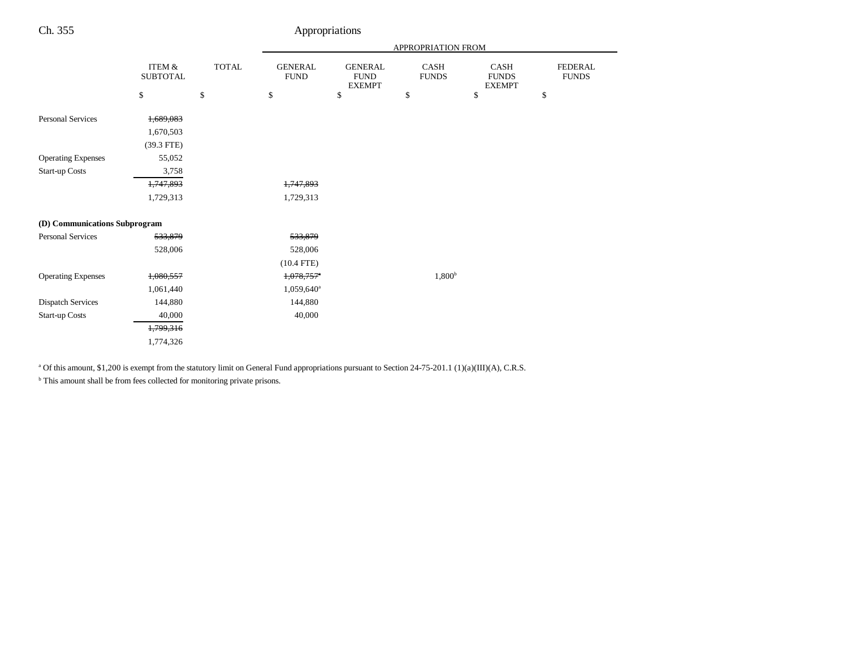|                               |                              |              | APPROPRIATION FROM            |                                                |                      |                                       |                                |
|-------------------------------|------------------------------|--------------|-------------------------------|------------------------------------------------|----------------------|---------------------------------------|--------------------------------|
|                               | ITEM $\&$<br><b>SUBTOTAL</b> | <b>TOTAL</b> | <b>GENERAL</b><br><b>FUND</b> | <b>GENERAL</b><br><b>FUND</b><br><b>EXEMPT</b> | CASH<br><b>FUNDS</b> | CASH<br><b>FUNDS</b><br><b>EXEMPT</b> | <b>FEDERAL</b><br><b>FUNDS</b> |
|                               | \$                           | \$           | \$                            | \$                                             | \$                   | \$                                    | \$                             |
| <b>Personal Services</b>      | 1,689,083                    |              |                               |                                                |                      |                                       |                                |
|                               | 1,670,503                    |              |                               |                                                |                      |                                       |                                |
|                               | $(39.3$ FTE)                 |              |                               |                                                |                      |                                       |                                |
| <b>Operating Expenses</b>     | 55,052                       |              |                               |                                                |                      |                                       |                                |
| <b>Start-up Costs</b>         | 3,758                        |              |                               |                                                |                      |                                       |                                |
|                               | 1,747,893                    |              | 1,747,893                     |                                                |                      |                                       |                                |
|                               | 1,729,313                    |              | 1,729,313                     |                                                |                      |                                       |                                |
| (D) Communications Subprogram |                              |              |                               |                                                |                      |                                       |                                |
| Personal Services             | 533,879                      |              | 533,879                       |                                                |                      |                                       |                                |
|                               | 528,006                      |              | 528,006                       |                                                |                      |                                       |                                |
|                               |                              |              | $(10.4$ FTE)                  |                                                |                      |                                       |                                |
| <b>Operating Expenses</b>     | 1,080,557                    |              | $1,078,757$ <sup>*</sup>      |                                                | 1,800 <sup>b</sup>   |                                       |                                |
|                               | 1,061,440                    |              | 1,059,640 <sup>a</sup>        |                                                |                      |                                       |                                |
| <b>Dispatch Services</b>      | 144,880                      |              | 144,880                       |                                                |                      |                                       |                                |
| <b>Start-up Costs</b>         | 40,000                       |              | 40,000                        |                                                |                      |                                       |                                |
|                               | 1,799,316                    |              |                               |                                                |                      |                                       |                                |
|                               | 1,774,326                    |              |                               |                                                |                      |                                       |                                |
|                               |                              |              |                               |                                                |                      |                                       |                                |

<sup>a</sup> Of this amount, \$1,200 is exempt from the statutory limit on General Fund appropriations pursuant to Section 24-75-201.1 (1)(a)(III)(A), C.R.S.

 $^{\rm b}$  This amount shall be from fees collected for monitoring private prisons.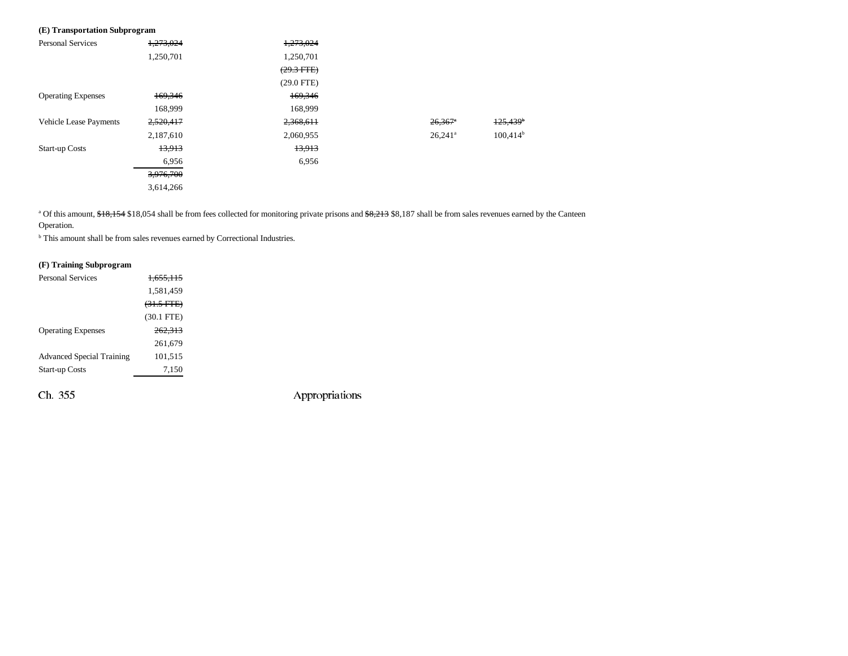## **(E) Transportation Subprogram**

| <b>Personal Services</b>      | 1,273,024 | 1,273,024    |                       |                        |
|-------------------------------|-----------|--------------|-----------------------|------------------------|
|                               | 1,250,701 | 1,250,701    |                       |                        |
|                               |           | $(29.3$ FTE) |                       |                        |
|                               |           | $(29.0$ FTE) |                       |                        |
| <b>Operating Expenses</b>     | 169,346   | 169,346      |                       |                        |
|                               | 168.999   | 168,999      |                       |                        |
| <b>Vehicle Lease Payments</b> | 2,520,417 | 2,368,611    | $26,367$ <sup>*</sup> | $125,439$ <sup>b</sup> |
|                               | 2,187,610 | 2,060,955    | $26,241$ <sup>a</sup> | $100,414^b$            |
| <b>Start-up Costs</b>         | 13,913    | 13,913       |                       |                        |
|                               | 6,956     | 6,956        |                       |                        |
|                               | 3,976,700 |              |                       |                        |
|                               | 3,614,266 |              |                       |                        |

<sup>a</sup> Of this amount, \$18,154 \$18,054 shall be from fees collected for monitoring private prisons and \$8,213 \$8,187 shall be from sales revenues earned by the Canteen Operation.

 $^{\rm b}$  This amount shall be from sales revenues earned by Correctional Industries.

#### **(F) Training Subprogram**

| <b>Personal Services</b>         | <del>1.655.115</del> |
|----------------------------------|----------------------|
|                                  | 1,581,459            |
|                                  | $(31.5$ FTE)         |
|                                  | $(30.1$ FTE)         |
| <b>Operating Expenses</b>        | 262,313              |
|                                  | 261.679              |
| <b>Advanced Special Training</b> | 101.515              |
| <b>Start-up Costs</b>            | 7,150                |
|                                  |                      |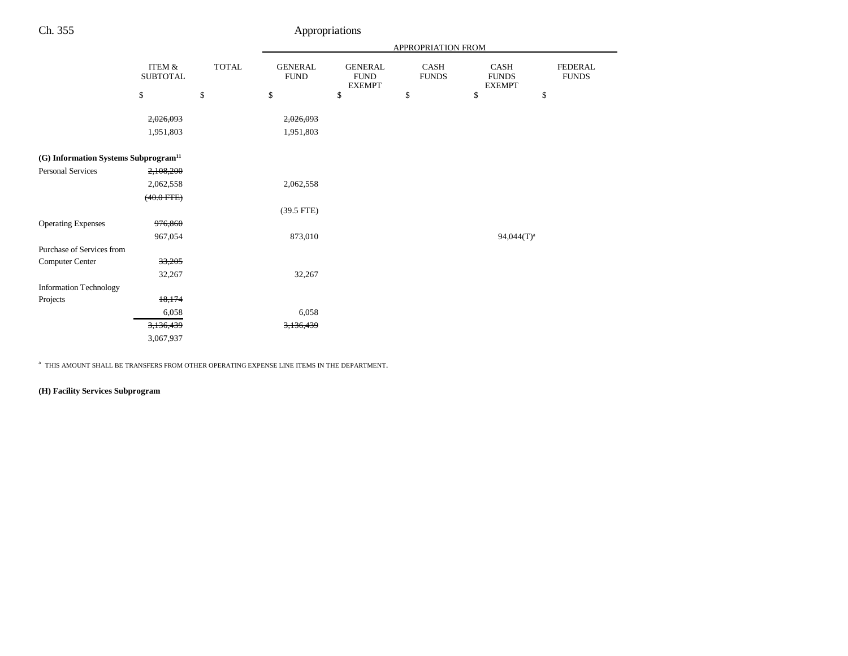| $\sim$ |  |  |
|--------|--|--|
|--------|--|--|

# Appropriations

|                                                  |                                      |              | APPROPRIATION FROM            |                                                |                             |                                       |                                |
|--------------------------------------------------|--------------------------------------|--------------|-------------------------------|------------------------------------------------|-----------------------------|---------------------------------------|--------------------------------|
|                                                  | <b>ITEM &amp;</b><br><b>SUBTOTAL</b> | <b>TOTAL</b> | <b>GENERAL</b><br><b>FUND</b> | <b>GENERAL</b><br><b>FUND</b><br><b>EXEMPT</b> | <b>CASH</b><br><b>FUNDS</b> | CASH<br><b>FUNDS</b><br><b>EXEMPT</b> | <b>FEDERAL</b><br><b>FUNDS</b> |
|                                                  | \$                                   | $\mathbb{S}$ | \$                            | \$                                             | \$                          | \$                                    | \$                             |
|                                                  | 2,026,093                            |              | 2,026,093                     |                                                |                             |                                       |                                |
|                                                  | 1,951,803                            |              | 1,951,803                     |                                                |                             |                                       |                                |
|                                                  |                                      |              |                               |                                                |                             |                                       |                                |
| (G) Information Systems Subprogram <sup>11</sup> |                                      |              |                               |                                                |                             |                                       |                                |
| <b>Personal Services</b>                         | 2,108,200                            |              |                               |                                                |                             |                                       |                                |
|                                                  | 2,062,558                            |              | 2,062,558                     |                                                |                             |                                       |                                |
|                                                  | $(40.0$ FTE $)$                      |              |                               |                                                |                             |                                       |                                |
|                                                  |                                      |              | $(39.5$ FTE)                  |                                                |                             |                                       |                                |
| <b>Operating Expenses</b>                        | 976,860                              |              |                               |                                                |                             |                                       |                                |
|                                                  | 967,054                              |              | 873,010                       |                                                |                             | $94,044(T)^a$                         |                                |
| Purchase of Services from                        |                                      |              |                               |                                                |                             |                                       |                                |
| Computer Center                                  | 33,205                               |              |                               |                                                |                             |                                       |                                |
|                                                  | 32,267                               |              | 32,267                        |                                                |                             |                                       |                                |
| <b>Information Technology</b>                    |                                      |              |                               |                                                |                             |                                       |                                |
| Projects                                         | 18,174                               |              |                               |                                                |                             |                                       |                                |
|                                                  | 6,058                                |              | 6,058                         |                                                |                             |                                       |                                |
|                                                  | 3,136,439                            |              | 3,136,439                     |                                                |                             |                                       |                                |
|                                                  | 3,067,937                            |              |                               |                                                |                             |                                       |                                |

 $\mathrm{^a}\,$  THIS AMOUNT SHALL BE TRANSFERS FROM OTHER OPERATING EXPENSE LINE ITEMS IN THE DEPARTMENT.

## **(H) Facility Services Subprogram**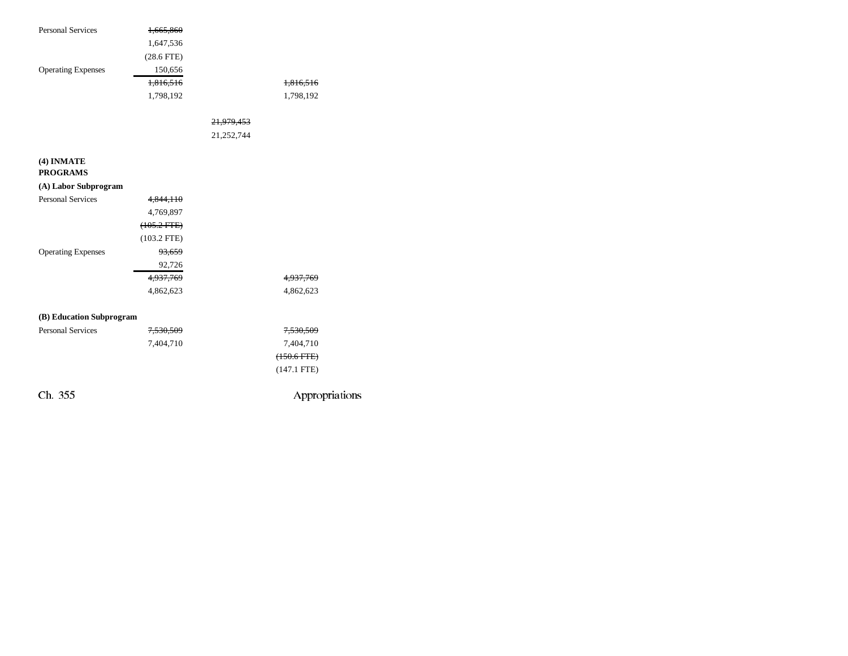| <b>Personal Services</b>  |                      |                       |                  |
|---------------------------|----------------------|-----------------------|------------------|
|                           | 1,665,860            |                       |                  |
|                           | 1,647,536            |                       |                  |
|                           | $(28.6$ FTE)         |                       |                  |
| <b>Operating Expenses</b> | 150,656              |                       |                  |
|                           | 1,816,516            |                       | 1,816,516        |
|                           | 1,798,192            |                       | 1,798,192        |
|                           |                      |                       |                  |
|                           |                      | <del>21,979,453</del> |                  |
|                           |                      | 21,252,744            |                  |
|                           |                      |                       |                  |
| (4) INMATE                |                      |                       |                  |
| <b>PROGRAMS</b>           |                      |                       |                  |
| (A) Labor Subprogram      |                      |                       |                  |
| <b>Personal Services</b>  | 4,844,110            |                       |                  |
|                           | 4,769,897            |                       |                  |
|                           | $(105.2$ FTE $)$     |                       |                  |
|                           | $(103.2$ FTE)        |                       |                  |
| <b>Operating Expenses</b> | 93,659               |                       |                  |
|                           | 92,726               |                       |                  |
|                           | 4,937,769            |                       | 4,937,769        |
|                           | 4,862,623            |                       | 4,862,623        |
|                           |                      |                       |                  |
| (B) Education Subprogram  |                      |                       |                  |
| <b>Personal Services</b>  | <del>7,530,509</del> |                       | 7,530,509        |
|                           | 7,404,710            |                       | 7,404,710        |
|                           |                      |                       | $(150.6$ FTE $)$ |
|                           |                      |                       | $(147.1$ FTE)    |
|                           |                      |                       |                  |
| Ch. 355                   |                      |                       | Appropriations   |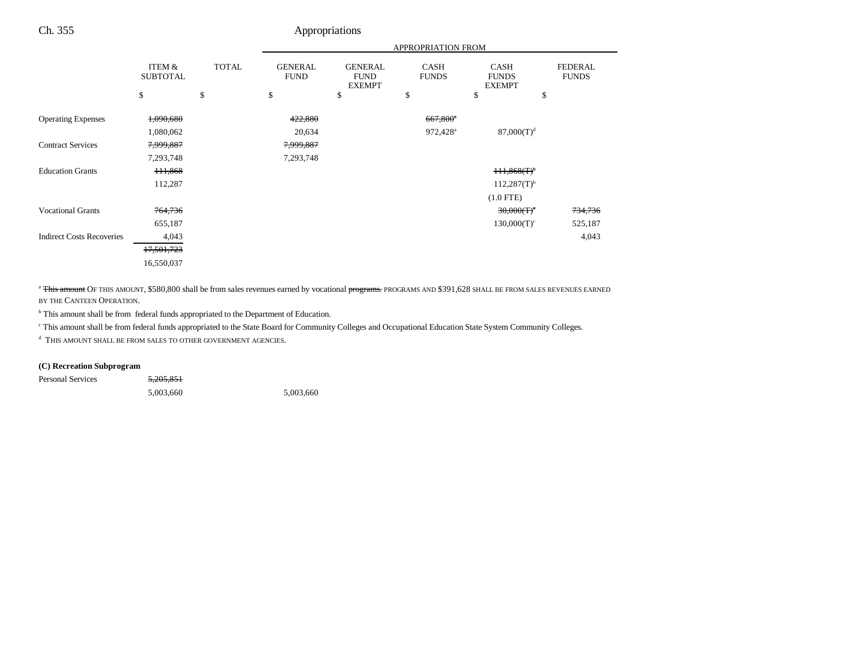|                                  |                           |              | APPROPRIATION FROM            |                                                |                             |                                              |                                |
|----------------------------------|---------------------------|--------------|-------------------------------|------------------------------------------------|-----------------------------|----------------------------------------------|--------------------------------|
|                                  | ITEM &<br><b>SUBTOTAL</b> | <b>TOTAL</b> | <b>GENERAL</b><br><b>FUND</b> | <b>GENERAL</b><br><b>FUND</b><br><b>EXEMPT</b> | <b>CASH</b><br><b>FUNDS</b> | <b>CASH</b><br><b>FUNDS</b><br><b>EXEMPT</b> | <b>FEDERAL</b><br><b>FUNDS</b> |
|                                  | \$                        | \$           | \$                            | \$                                             | \$                          | \$<br>\$                                     |                                |
| <b>Operating Expenses</b>        | 1,090,680                 |              | 422,880                       |                                                | $667,800$ <sup>*</sup>      |                                              |                                |
|                                  | 1,080,062                 |              | 20,634                        |                                                | 972,428 <sup>a</sup>        | $87,000(T)^d$                                |                                |
| <b>Contract Services</b>         | 7,999,887                 |              | 7,999,887                     |                                                |                             |                                              |                                |
|                                  | 7,293,748                 |              | 7,293,748                     |                                                |                             |                                              |                                |
| <b>Education Grants</b>          | 111,868                   |              |                               |                                                |                             | $+11,868(T)$                                 |                                |
|                                  | 112,287                   |              |                               |                                                |                             | $112,287(T)^{b}$                             |                                |
|                                  |                           |              |                               |                                                |                             | $(1.0$ FTE)                                  |                                |
| <b>Vocational Grants</b>         | 764,736                   |              |                               |                                                |                             | $30,000(T)^c$                                | 734,736                        |
|                                  | 655,187                   |              |                               |                                                |                             | $130,000(T)^c$                               | 525,187                        |
| <b>Indirect Costs Recoveries</b> | 4,043                     |              |                               |                                                |                             |                                              | 4,043                          |
|                                  | 17,501,723                |              |                               |                                                |                             |                                              |                                |
|                                  | 16,550,037                |              |                               |                                                |                             |                                              |                                |

<sup>a</sup> This amount OF THIS AMOUNT, \$580,800 shall be from sales revenues earned by vocational programs. PROGRAMS AND \$391,628 SHALL BE FROM SALES REVENUES EARNED BY THE CANTEEN OPERATION.

<sup>b</sup> This amount shall be from federal funds appropriated to the Department of Education.

c This amount shall be from federal funds appropriated to the State Board for Community Colleges and Occupational Education State System Community Colleges.

d THIS AMOUNT SHALL BE FROM SALES TO OTHER GOVERNMENT AGENCIES.

### **(C) Recreation Subprogram**

Personal Services 5,205,851

5,003,660 5,003,660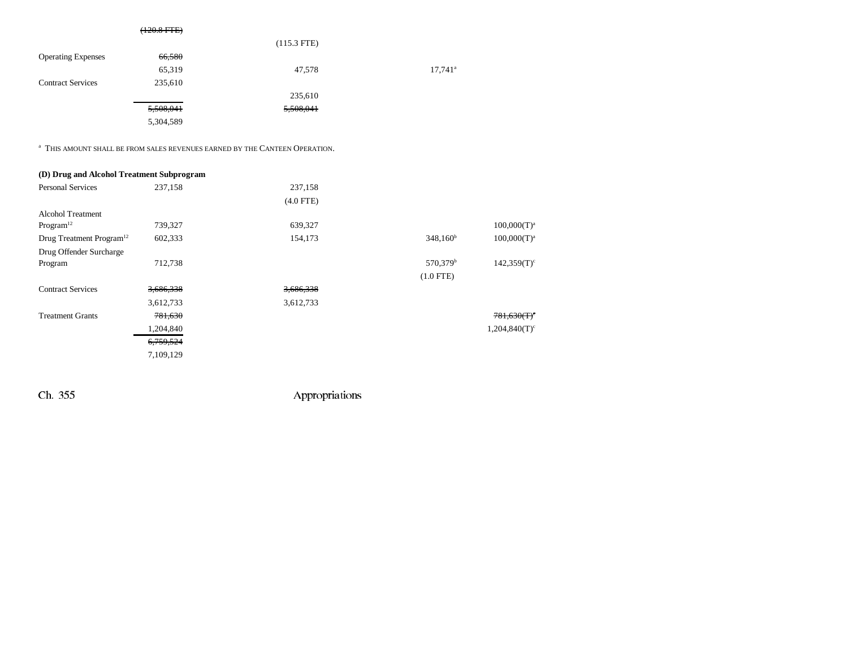|                           | $(120.8$ FTE $)$ |               |                       |
|---------------------------|------------------|---------------|-----------------------|
|                           |                  | $(115.3$ FTE) |                       |
| <b>Operating Expenses</b> | 66,580           |               |                       |
|                           | 65,319           | 47,578        | $17,741$ <sup>a</sup> |
| <b>Contract Services</b>  | 235,610          |               |                       |
|                           |                  | 235,610       |                       |
|                           | 5,508,041        | 5,508,041     |                       |
|                           | 5,304,589        |               |                       |

 $\mathrm{^{a}}$  This amount shall be from sales revenues earned by the Canteen Operation.

| (D) Drug and Alcohol Treatment Subprogram |           |             |                      |                  |
|-------------------------------------------|-----------|-------------|----------------------|------------------|
| <b>Personal Services</b>                  | 237,158   | 237,158     |                      |                  |
|                                           |           | $(4.0$ FTE) |                      |                  |
| <b>Alcohol Treatment</b>                  |           |             |                      |                  |
| Program <sup>12</sup>                     | 739,327   | 639,327     |                      | $100,000(T)^{3}$ |
| Drug Treatment Program <sup>12</sup>      | 602,333   | 154,173     | $348,160^{\rm b}$    | $100,000(T)^{3}$ |
| Drug Offender Surcharge                   |           |             |                      |                  |
| Program                                   | 712,738   |             | 570,379 <sup>b</sup> | 142,359(T)       |
|                                           |           |             | $(1.0$ FTE)          |                  |
| <b>Contract Services</b>                  | 3,686,338 | 3,686,338   |                      |                  |
|                                           | 3,612,733 | 3,612,733   |                      |                  |
| <b>Treatment Grants</b>                   | 781,630   |             |                      | 781,630(f)       |
|                                           | 1,204,840 |             |                      | 1,204,840(T)     |
|                                           | 6,759,524 |             |                      |                  |
|                                           | 7,109,129 |             |                      |                  |
|                                           |           |             |                      |                  |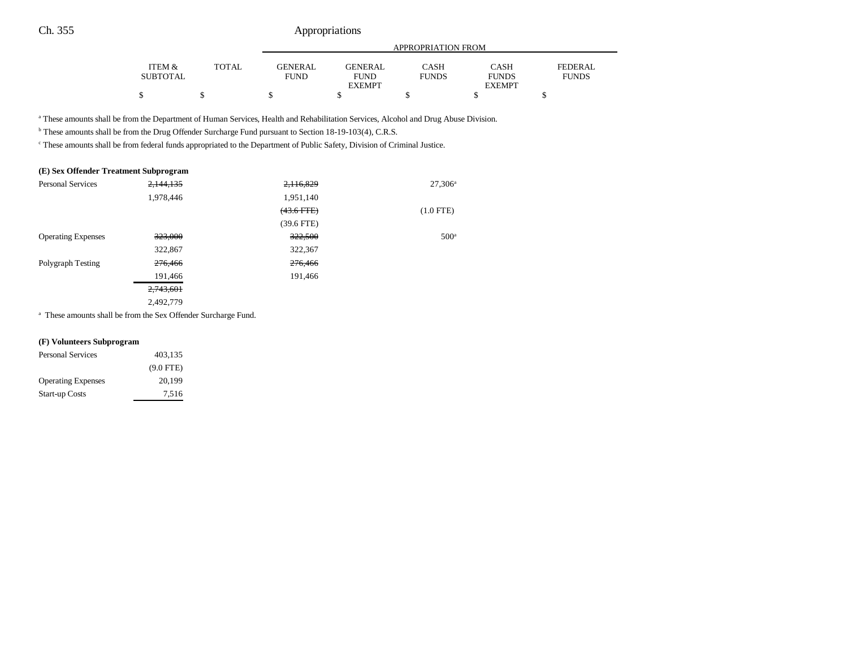|          |       |             | APPROPRIATION FROM |              |               |              |  |
|----------|-------|-------------|--------------------|--------------|---------------|--------------|--|
| ITEM &   | TOTAL | GENERAL     | GENERAL            | CASH         | CASH          | FEDERAL      |  |
| SUBTOTAL |       | <b>FUND</b> | <b>FUND</b>        | <b>FUNDS</b> | <b>FUNDS</b>  | <b>FUNDS</b> |  |
|          |       |             | <b>EXEMPT</b>      |              | <b>EXEMPT</b> |              |  |
| \$       |       |             |                    |              |               |              |  |

a These amounts shall be from the Department of Human Services, Health and Rehabilitation Services, Alcohol and Drug Abuse Division.

b These amounts shall be from the Drug Offender Surcharge Fund pursuant to Section 18-19-103(4), C.R.S.

c These amounts shall be from federal funds appropriated to the Department of Public Safety, Division of Criminal Justice.

#### **(E) Sex Offender Treatment Subprogram**

| <b>Personal Services</b>  | 2,144,135 | 2,116,829       | $27,306^{\circ}$ |
|---------------------------|-----------|-----------------|------------------|
|                           | 1,978,446 | 1,951,140       |                  |
|                           |           | $(43.6$ FTE $)$ | $(1.0$ FTE)      |
|                           |           | $(39.6$ FTE)    |                  |
| <b>Operating Expenses</b> | 323,000   | 322,500         | 500 <sup>a</sup> |
|                           | 322,867   | 322,367         |                  |
| Polygraph Testing         | 276,466   | 276,466         |                  |
|                           | 191,466   | 191,466         |                  |
|                           | 2,743,601 |                 |                  |
|                           | 2,492,779 |                 |                  |

<sup>a</sup> These amounts shall be from the Sex Offender Surcharge Fund.

#### **(F) Volunteers Subprogram**

| <b>Personal Services</b>  | 403,135     |  |
|---------------------------|-------------|--|
|                           | $(9.0$ FTE) |  |
| <b>Operating Expenses</b> | 20.199      |  |
| <b>Start-up Costs</b>     | 7.516       |  |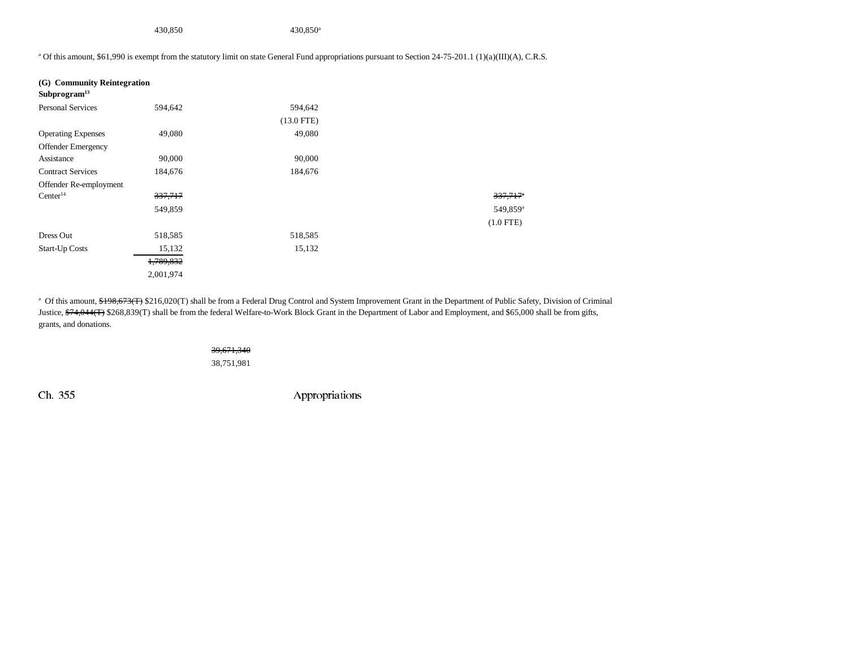430,850 430,850a

<sup>a</sup> Of this amount, \$61,990 is exempt from the statutory limit on state General Fund appropriations pursuant to Section 24-75-201.1 (1)(a)(III)(A), C.R.S.

| $337,717$ <sup>*</sup> |
|------------------------|
| 549,859 <sup>a</sup>   |
| $(1.0$ FTE)            |
|                        |
|                        |
|                        |
|                        |
|                        |

<sup>a</sup> Of this amount, \$198,673(T) \$216,020(T) shall be from a Federal Drug Control and System Improvement Grant in the Department of Public Safety, Division of Criminal Justice, \$74,044(T) \$268,839(T) shall be from the federal Welfare-to-Work Block Grant in the Department of Labor and Employment, and \$65,000 shall be from gifts, grants, and donations.

> 39,671,340 38,751,981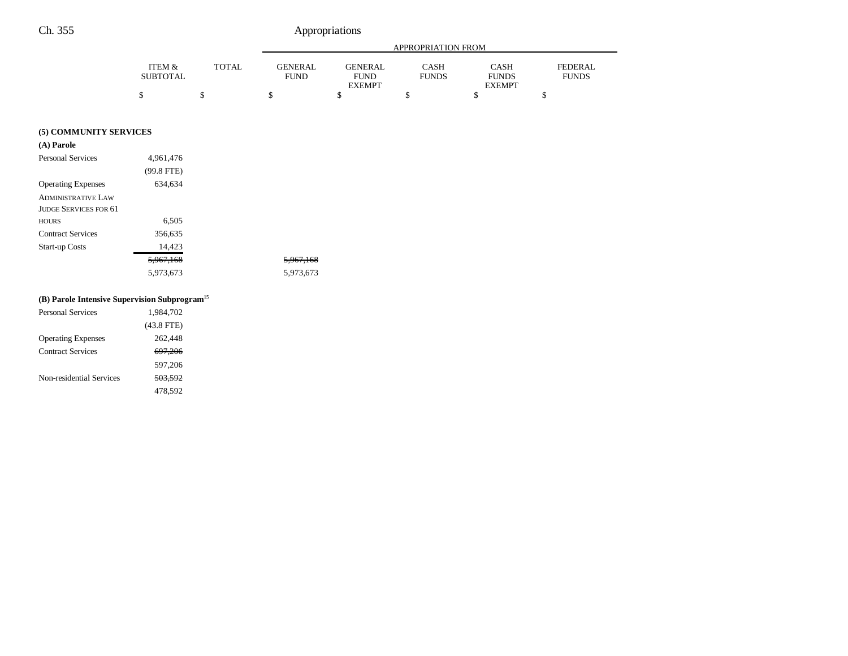|                          |                           |              |                               | <b>APPROPRIATION FROM</b>                                                     |    |                                              |                                |  |
|--------------------------|---------------------------|--------------|-------------------------------|-------------------------------------------------------------------------------|----|----------------------------------------------|--------------------------------|--|
|                          | ITEM &<br><b>SUBTOTAL</b> | <b>TOTAL</b> | <b>GENERAL</b><br><b>FUND</b> | <b>GENERAL</b><br><b>CASH</b><br><b>FUND</b><br><b>FUNDS</b><br><b>EXEMPT</b> |    | <b>CASH</b><br><b>FUNDS</b><br><b>EXEMPT</b> | <b>FEDERAL</b><br><b>FUNDS</b> |  |
|                          | \$                        | \$           | \$                            | \$                                                                            | \$ | \$                                           | \$                             |  |
| (5) COMMUNITY SERVICES   |                           |              |                               |                                                                               |    |                                              |                                |  |
| (A) Parole               |                           |              |                               |                                                                               |    |                                              |                                |  |
| <b>Personal Services</b> | 4,961,476<br>$(99.8$ FTE) |              |                               |                                                                               |    |                                              |                                |  |

| <b>Operating Expenses</b> | 634,634   |                      |
|---------------------------|-----------|----------------------|
| ADMINISTRATIVE LAW        |           |                      |
| JUDGE SERVICES FOR 61     |           |                      |
| HOURS                     | 6,505     |                      |
| <b>Contract Services</b>  | 356,635   |                      |
| Start-up Costs            | 14.423    |                      |
|                           | 5,967,168 | <del>5,967,168</del> |
|                           | 5,973,673 | 5,973,673            |

## **(B) Parole Intensive Supervision Subprogram**<sup>15</sup>

| <b>Personal Services</b>  | 1,984,702    |
|---------------------------|--------------|
|                           | $(43.8$ FTE) |
| <b>Operating Expenses</b> | 262,448      |
| <b>Contract Services</b>  | 697,206      |
|                           | 597,206      |
| Non-residential Services  | 503.592      |
|                           | 478,592      |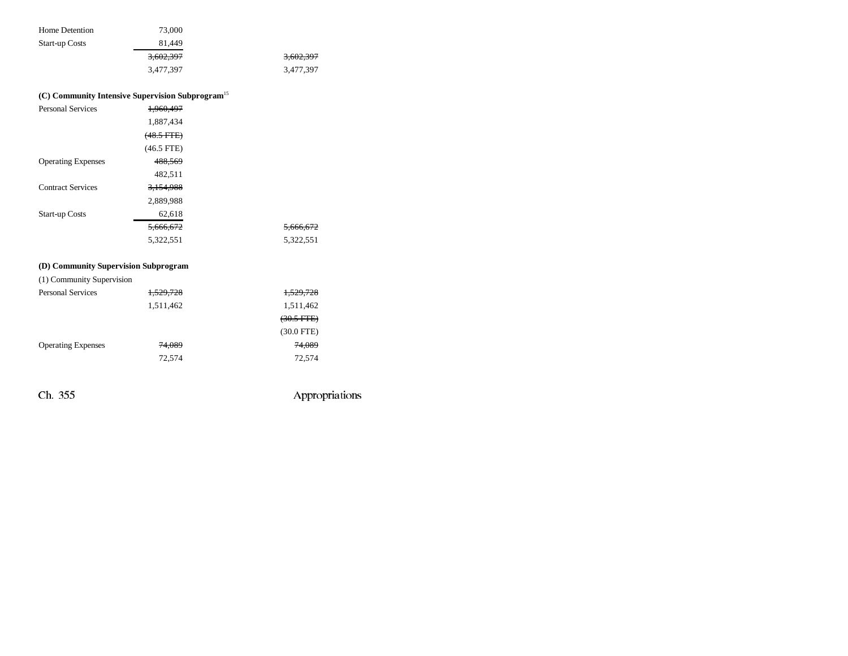| Home Detention        | 73,000    |           |
|-----------------------|-----------|-----------|
| <b>Start-up Costs</b> | 81.449    |           |
|                       | 3,602,397 | 3,602,397 |
|                       | 3.477.397 | 3.477.397 |

## **(C) Community Intensive Supervision Subprogram**<sup>15</sup>

| <b>Personal Services</b>             | 1.960.497       |           |
|--------------------------------------|-----------------|-----------|
|                                      | 1,887,434       |           |
|                                      | $(48.5$ FTE $)$ |           |
|                                      | $(46.5$ FTE)    |           |
| <b>Operating Expenses</b>            | 488,569         |           |
|                                      | 482,511         |           |
| <b>Contract Services</b>             | 3.154.988       |           |
|                                      | 2,889,988       |           |
| <b>Start-up Costs</b>                | 62,618          |           |
|                                      | 5.666.672       | 5,666,672 |
|                                      | 5,322,551       | 5,322,551 |
|                                      |                 |           |
| (D) Community Supervision Subprogram |                 |           |

(1) Community Supervision

| <b>Personal Services</b>  | 1,529,728 | 1,529,728            |
|---------------------------|-----------|----------------------|
|                           | 1,511,462 | 1,511,462            |
|                           |           | $(30.5 \text{ FFE})$ |
|                           |           | $(30.0$ FTE)         |
| <b>Operating Expenses</b> | 74,089    | 74,089               |
|                           | 72.574    | 72,574               |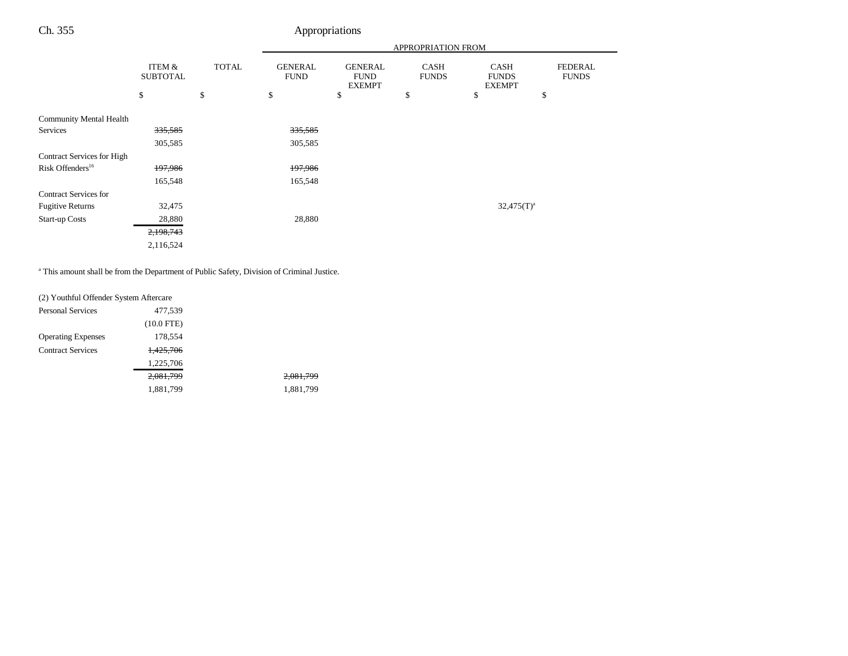|                                |                           |              |                               |                                                | <b>APPROPRIATION FROM</b>   |                                              |                                |
|--------------------------------|---------------------------|--------------|-------------------------------|------------------------------------------------|-----------------------------|----------------------------------------------|--------------------------------|
|                                | ITEM &<br><b>SUBTOTAL</b> | <b>TOTAL</b> | <b>GENERAL</b><br><b>FUND</b> | <b>GENERAL</b><br><b>FUND</b><br><b>EXEMPT</b> | <b>CASH</b><br><b>FUNDS</b> | <b>CASH</b><br><b>FUNDS</b><br><b>EXEMPT</b> | <b>FEDERAL</b><br><b>FUNDS</b> |
|                                | \$                        | \$           | \$                            | \$                                             | \$                          | \$                                           | \$                             |
| <b>Community Mental Health</b> |                           |              |                               |                                                |                             |                                              |                                |
| Services                       | 335,585                   |              | 335,585                       |                                                |                             |                                              |                                |
|                                | 305,585                   |              | 305,585                       |                                                |                             |                                              |                                |
| Contract Services for High     |                           |              |                               |                                                |                             |                                              |                                |
| Risk Offenders <sup>16</sup>   | 197,986                   |              | 197,986                       |                                                |                             |                                              |                                |
|                                | 165,548                   |              | 165,548                       |                                                |                             |                                              |                                |
| <b>Contract Services for</b>   |                           |              |                               |                                                |                             |                                              |                                |
| <b>Fugitive Returns</b>        | 32,475                    |              |                               |                                                |                             | $32,475(T)^a$                                |                                |
| <b>Start-up Costs</b>          | 28,880                    |              | 28,880                        |                                                |                             |                                              |                                |
|                                | 2,198,743                 |              |                               |                                                |                             |                                              |                                |
|                                | 2,116,524                 |              |                               |                                                |                             |                                              |                                |

<sup>a</sup> This amount shall be from the Department of Public Safety, Division of Criminal Justice.

| (2) Youthful Offender System Aftercare |              |           |
|----------------------------------------|--------------|-----------|
| Personal Services                      | 477,539      |           |
|                                        | $(10.0$ FTE) |           |
| <b>Operating Expenses</b>              | 178,554      |           |
| <b>Contract Services</b>               | 1,425,706    |           |
|                                        | 1,225,706    |           |
|                                        | 2,081,799    | 2,081,799 |
|                                        | 1,881,799    | 1,881,799 |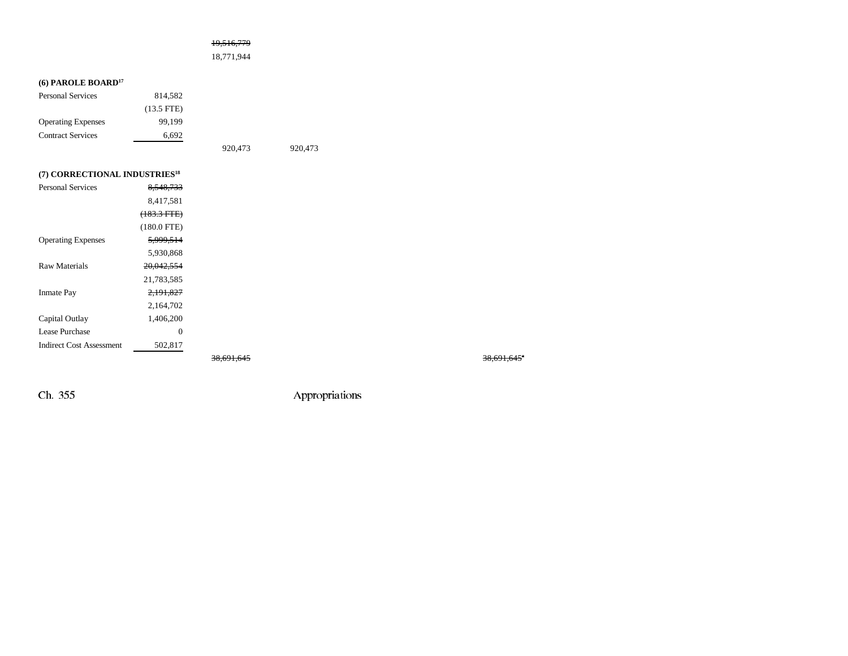|  | 19,516,779 |  |
|--|------------|--|
|  |            |  |

18,771,944

## **(6) PAROLE BOARD17**

| <b>Personal Services</b>                  | 814,582              |         |         |
|-------------------------------------------|----------------------|---------|---------|
|                                           | $(13.5 \text{ FTE})$ |         |         |
| <b>Operating Expenses</b>                 | 99.199               |         |         |
| <b>Contract Services</b>                  | 6,692                |         |         |
|                                           |                      | 920.473 | 920,473 |
|                                           |                      |         |         |
| (7) CORRECTIONAL INDUSTRIES <sup>18</sup> |                      |         |         |

| WORKECTIONAL INDUSTRIES         |                      |  |
|---------------------------------|----------------------|--|
| <b>Personal Services</b>        | 8.548,733            |  |
|                                 | 8.417.581            |  |
|                                 | $(183.3 FTE)$        |  |
|                                 | $(180.0$ FTE)        |  |
| <b>Operating Expenses</b>       | 5,999,514            |  |
|                                 | 5.930.868            |  |
| Raw Materials                   | 20.042.554           |  |
|                                 | 21,783,585           |  |
| <b>Inmate Pay</b>               | <del>2.191.827</del> |  |
|                                 | 2,164,702            |  |
| Capital Outlay                  | 1.406.200            |  |
| Lease Purchase                  | 0                    |  |
| <b>Indirect Cost Assessment</b> | 502,817              |  |
|                                 |                      |  |

38,691,645<sup>a</sup> 38,691,645<sup>a</sup>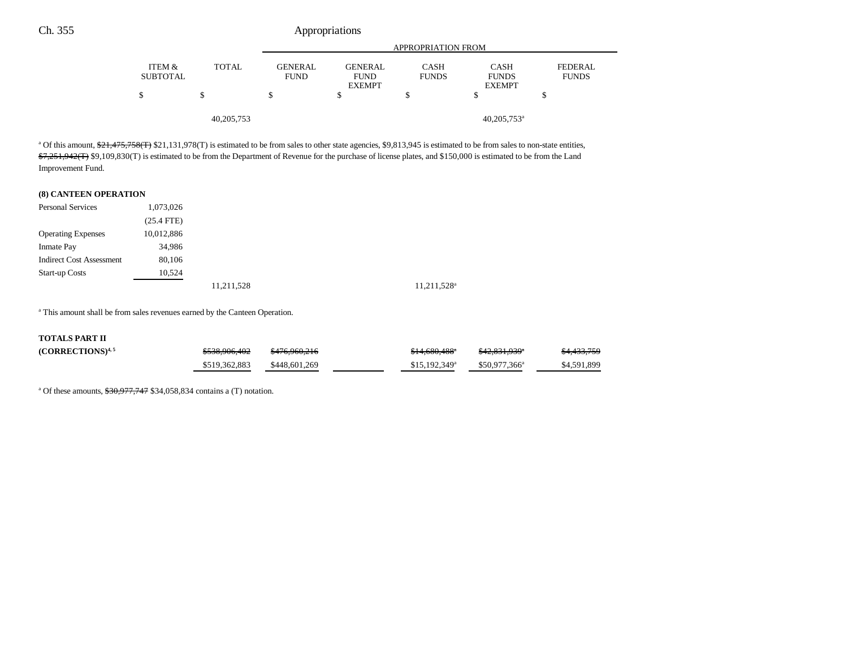|                           |              | <b>APPROPRIATION FROM</b>     |                                                |                             |                                              |                                |
|---------------------------|--------------|-------------------------------|------------------------------------------------|-----------------------------|----------------------------------------------|--------------------------------|
| ITEM &<br><b>SUBTOTAL</b> | <b>TOTAL</b> | <b>GENERAL</b><br><b>FUND</b> | <b>GENERAL</b><br><b>FUND</b><br><b>EXEMPT</b> | <b>CASH</b><br><b>FUNDS</b> | <b>CASH</b><br><b>FUNDS</b><br><b>EXEMPT</b> | <b>FEDERAL</b><br><b>FUNDS</b> |
| \$                        |              | J                             |                                                |                             | Œ                                            |                                |
|                           | 40, 205, 753 |                               |                                                |                             | $40,205,753$ <sup>a</sup>                    |                                |

<sup>a</sup> Of this amount,  $\frac{21,475,758(f)}{21,131,978(f)}$  is estimated to be from sales to other state agencies, \$9,813,945 is estimated to be from sales to non-state entities,  $7,251,942$ (T) \$9,109,830(T) is estimated to be from the Department of Revenue for the purchase of license plates, and \$150,000 is estimated to be from the Land Improvement Fund.

#### **(8) CANTEEN OPERATION**

| <b>Personal Services</b>        | 1,073,026    |            |                         |
|---------------------------------|--------------|------------|-------------------------|
|                                 | $(25.4$ FTE) |            |                         |
| <b>Operating Expenses</b>       | 10,012,886   |            |                         |
| <b>Inmate Pay</b>               | 34,986       |            |                         |
| <b>Indirect Cost Assessment</b> | 80,106       |            |                         |
| <b>Start-up Costs</b>           | 10,524       |            |                         |
|                                 |              | 11,211,528 | 11,211,528 <sup>a</sup> |

<sup>a</sup> This amount shall be from sales revenues earned by the Canteen Operation.

#### **TOTALS PART II**

| $(CORRECTIONS)^{4,5}$ | \$538,906,402 | <del>\$476.960.216</del> | $$14.680.488$ <sup>*</sup> | \$42,831,939 <sup>*</sup> | <del>\$4,433,759</del> |
|-----------------------|---------------|--------------------------|----------------------------|---------------------------|------------------------|
|                       | \$519,362,883 | \$448,601,269            | $$15,192,349$ <sup>a</sup> | $$50.977.366^a$           | \$4,591,899            |

<sup>a</sup> Of these amounts,  $$30,977,747$  \$34,058,834 contains a (T) notation.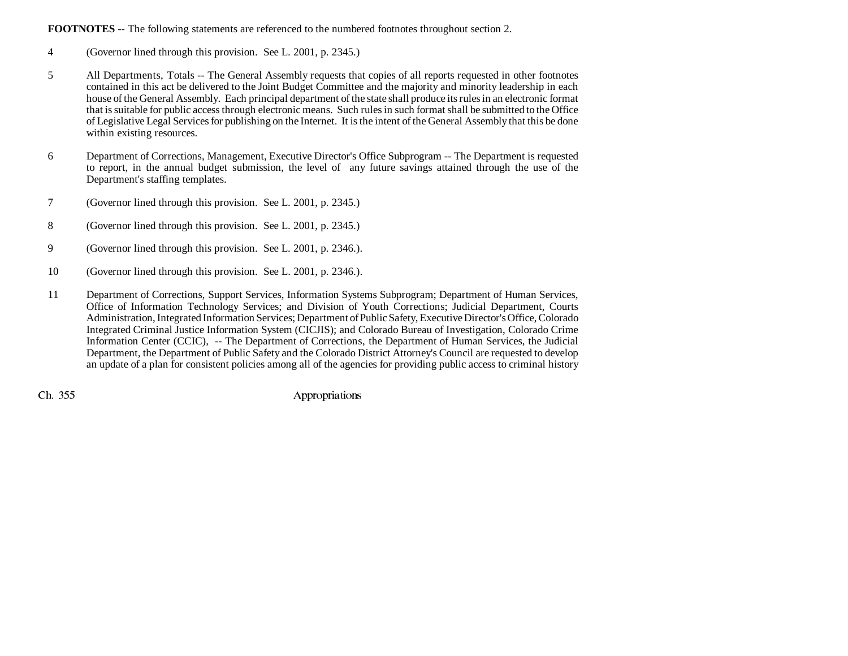## **FOOTNOTES** -- The following statements are referenced to the numbered footnotes throughout section 2.

- 4 (Governor lined through this provision. See L. 2001, p. 2345.)
- 5 All Departments, Totals -- The General Assembly requests that copies of all reports requested in other footnotes contained in this act be delivered to the Joint Budget Committee and the majority and minority leadership in each house of the General Assembly. Each principal department of the state shall produce its rules in an electronic format that is suitable for public access through electronic means. Such rules in such format shall be submitted to the Office of Legislative Legal Services for publishing on the Internet. It is the intent of the General Assembly that this be done within existing resources.
- 6 Department of Corrections, Management, Executive Director's Office Subprogram -- The Department is requested to report, in the annual budget submission, the level of any future savings attained through the use of the Department's staffing templates.
- 7 (Governor lined through this provision. See L. 2001, p. 2345.)
- 8 (Governor lined through this provision. See L. 2001, p. 2345.)
- 9 (Governor lined through this provision. See L. 2001, p. 2346.).
- 10 (Governor lined through this provision. See L. 2001, p. 2346.).
- 11 Department of Corrections, Support Services, Information Systems Subprogram; Department of Human Services, Office of Information Technology Services; and Division of Youth Corrections; Judicial Department, Courts Administration, Integrated Information Services; Department of Public Safety, Executive Director's Office, Colorado Integrated Criminal Justice Information System (CICJIS); and Colorado Bureau of Investigation, Colorado Crime Information Center (CCIC), -- The Department of Corrections, the Department of Human Services, the Judicial Department, the Department of Public Safety and the Colorado District Attorney's Council are requested to develop an update of a plan for consistent policies among all of the agencies for providing public access to criminal history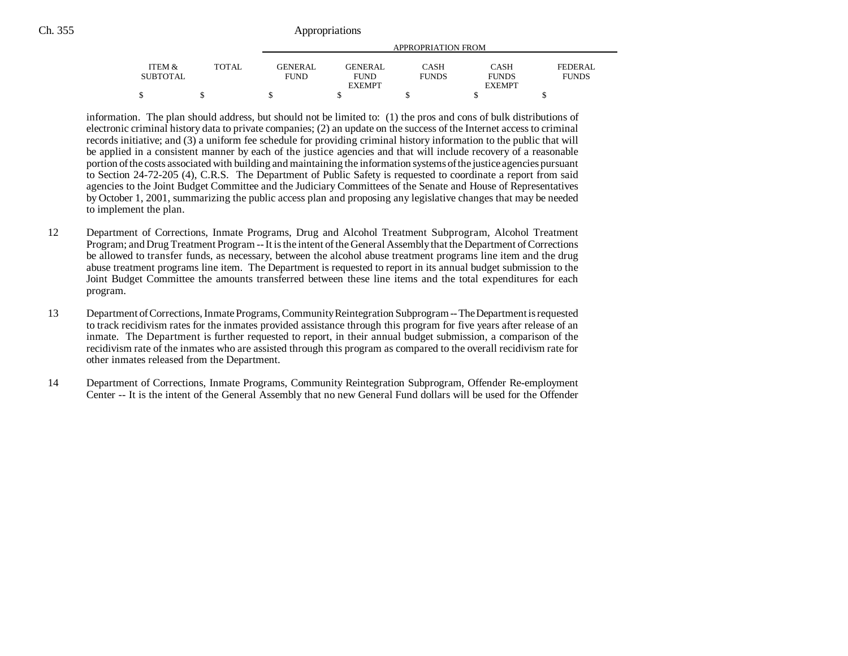|                 |              | APPROPRIATION FROM |                |              |               |              |
|-----------------|--------------|--------------------|----------------|--------------|---------------|--------------|
| ITEM &          | <b>TOTAL</b> | <b>GENERAL</b>     | <b>GENERAL</b> | <b>CASH</b>  | <b>CASH</b>   | FEDERAL      |
| <b>SUBTOTAL</b> |              | <b>FUND</b>        | <b>FUND</b>    | <b>FUNDS</b> | <b>FUNDS</b>  | <b>FUNDS</b> |
|                 |              |                    | <b>EXEMPT</b>  |              | <b>EXEMPT</b> |              |
|                 |              |                    |                |              |               |              |

information. The plan should address, but should not be limited to: (1) the pros and cons of bulk distributions of electronic criminal history data to private companies; (2) an update on the success of the Internet access to criminal records initiative; and (3) a uniform fee schedule for providing criminal history information to the public that will be applied in a consistent manner by each of the justice agencies and that will include recovery of a reasonable portion of the costs associated with building and maintaining the information systems of the justice agencies pursuant to Section 24-72-205 (4), C.R.S. The Department of Public Safety is requested to coordinate a report from said agencies to the Joint Budget Committee and the Judiciary Committees of the Senate and House of Representatives by October 1, 2001, summarizing the public access plan and proposing any legislative changes that may be needed to implement the plan.

- 12 Department of Corrections, Inmate Programs, Drug and Alcohol Treatment Subprogram, Alcohol Treatment Program; and Drug Treatment Program -- It is the intent of the General Assembly that the Department of Corrections be allowed to transfer funds, as necessary, between the alcohol abuse treatment programs line item and the drug abuse treatment programs line item. The Department is requested to report in its annual budget submission to the Joint Budget Committee the amounts transferred between these line items and the total expenditures for each program.
- 13 Department of Corrections, Inmate Programs, Community Reintegration Subprogram -- The Department is requested to track recidivism rates for the inmates provided assistance through this program for five years after release of an inmate. The Department is further requested to report, in their annual budget submission, a comparison of the recidivism rate of the inmates who are assisted through this program as compared to the overall recidivism rate for other inmates released from the Department.
- 14 Department of Corrections, Inmate Programs, Community Reintegration Subprogram, Offender Re-employment Center -- It is the intent of the General Assembly that no new General Fund dollars will be used for the Offender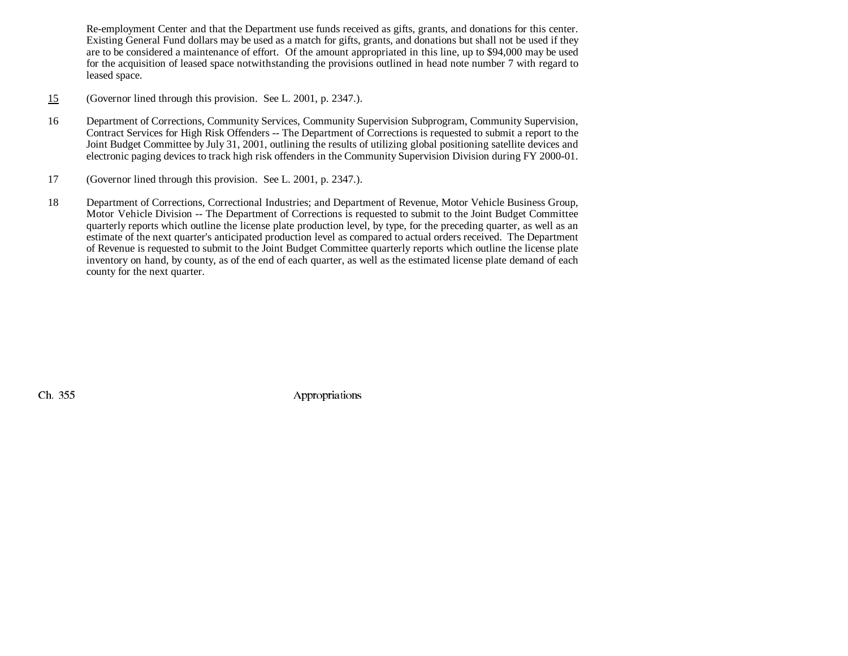Re-employment Center and that the Department use funds received as gifts, grants, and donations for this center. Existing General Fund dollars may be used as a match for gifts, grants, and donations but shall not be used if they are to be considered a maintenance of effort. Of the amount appropriated in this line, up to \$94,000 may be used for the acquisition of leased space notwithstanding the provisions outlined in head note number 7 with regard to leased space.

- 15(Governor lined through this provision. See L. 2001, p. 2347.).
- 16 Department of Corrections, Community Services, Community Supervision Subprogram, Community Supervision, Contract Services for High Risk Offenders -- The Department of Corrections is requested to submit a report to the Joint Budget Committee by July 31, 2001, outlining the results of utilizing global positioning satellite devices and electronic paging devices to track high risk offenders in the Community Supervision Division during FY 2000-01.
- 17 (Governor lined through this provision. See L. 2001, p. 2347.).
- 18 Department of Corrections, Correctional Industries; and Department of Revenue, Motor Vehicle Business Group, Motor Vehicle Division -- The Department of Corrections is requested to submit to the Joint Budget Committee quarterly reports which outline the license plate production level, by type, for the preceding quarter, as well as an estimate of the next quarter's anticipated production level as compared to actual orders received. The Department of Revenue is requested to submit to the Joint Budget Committee quarterly reports which outline the license plate inventory on hand, by county, as of the end of each quarter, as well as the estimated license plate demand of each county for the next quarter.